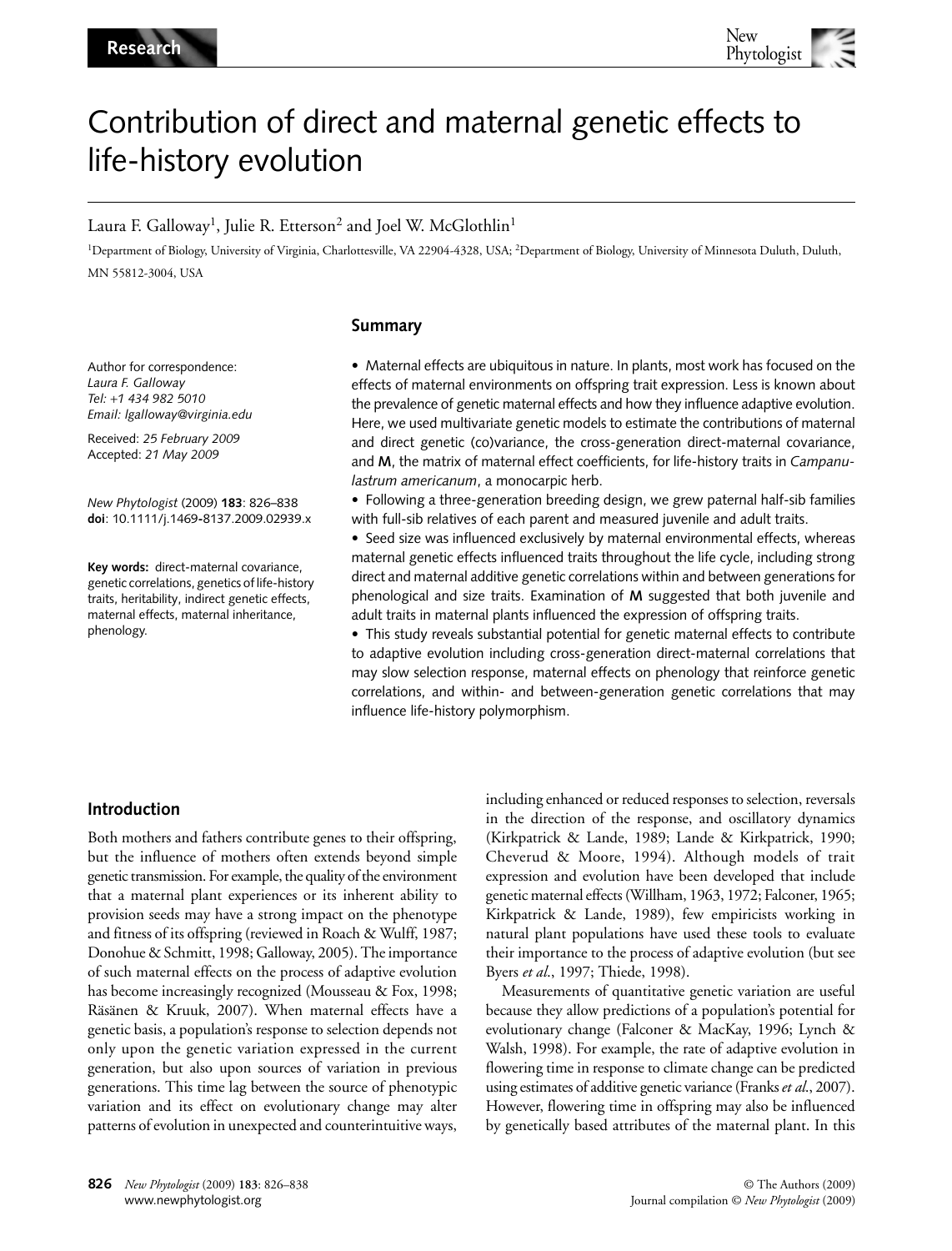# Contribution of direct and maternal genetic effects to life-history evolution

# Laura F. Galloway<sup>1</sup>, Julie R. Etterson<sup>2</sup> and Joel W. McGlothlin<sup>1</sup>

<sup>1</sup>Department of Biology, University of Virginia, Charlottesville, VA 22904-4328, USA; <sup>2</sup>Department of Biology, University of Minnesota Duluth, Duluth, MN 55812-3004, USA

## **Summary**

Author for correspondence: *Laura F. Galloway Tel:* +*1 434 982 5010 Email: lgalloway@virginia.edu*

Received: *25 February 2009* Accepted: *21 May 2009*

*New Phytologist* (2009) **183**: 826–838 **doi**: 10.1111/j.1469**-**8137.2009.02939.x

**Key words:** direct-maternal covariance, genetic correlations, genetics of life-history traits, heritability, indirect genetic effects, maternal effects, maternal inheritance, phenology.

• Maternal effects are ubiquitous in nature. In plants, most work has focused on the effects of maternal environments on offspring trait expression. Less is known about the prevalence of genetic maternal effects and how they influence adaptive evolution. Here, we used multivariate genetic models to estimate the contributions of maternal and direct genetic (co)variance, the cross-generation direct-maternal covariance, and **M**, the matrix of maternal effect coefficients, for life-history traits in *Campanulastrum americanum*, a monocarpic herb.

• Following a three-generation breeding design, we grew paternal half-sib families with full-sib relatives of each parent and measured juvenile and adult traits.

• Seed size was influenced exclusively by maternal environmental effects, whereas maternal genetic effects influenced traits throughout the life cycle, including strong direct and maternal additive genetic correlations within and between generations for phenological and size traits. Examination of **M** suggested that both juvenile and adult traits in maternal plants influenced the expression of offspring traits.

• This study reveals substantial potential for genetic maternal effects to contribute to adaptive evolution including cross-generation direct-maternal correlations that may slow selection response, maternal effects on phenology that reinforce genetic correlations, and within- and between-generation genetic correlations that may influence life-history polymorphism.

## **Introduction**

Both mothers and fathers contribute genes to their offspring, but the influence of mothers often extends beyond simple genetic transmission. For example, the quality of the environment that a maternal plant experiences or its inherent ability to provision seeds may have a strong impact on the phenotype and fitness of its offspring (reviewed in Roach & Wulff, 1987; Donohue & Schmitt, 1998; Galloway, 2005). The importance of such maternal effects on the process of adaptive evolution has become increasingly recognized (Mousseau & Fox, 1998; Räsänen & Kruuk, 2007). When maternal effects have a genetic basis, a population's response to selection depends not only upon the genetic variation expressed in the current generation, but also upon sources of variation in previous generations. This time lag between the source of phenotypic variation and its effect on evolutionary change may alter patterns of evolution in unexpected and counterintuitive ways, including enhanced or reduced responses to selection, reversals in the direction of the response, and oscillatory dynamics (Kirkpatrick & Lande, 1989; Lande & Kirkpatrick, 1990; Cheverud & Moore, 1994). Although models of trait expression and evolution have been developed that include genetic maternal effects (Willham, 1963, 1972; Falconer, 1965; Kirkpatrick & Lande, 1989), few empiricists working in natural plant populations have used these tools to evaluate their importance to the process of adaptive evolution (but see Byers *et al*., 1997; Thiede, 1998).

Measurements of quantitative genetic variation are useful because they allow predictions of a population's potential for evolutionary change (Falconer & MacKay, 1996; Lynch & Walsh, 1998). For example, the rate of adaptive evolution in flowering time in response to climate change can be predicted using estimates of additive genetic variance (Franks *et al*., 2007). However, flowering time in offspring may also be influenced by genetically based attributes of the maternal plant. In this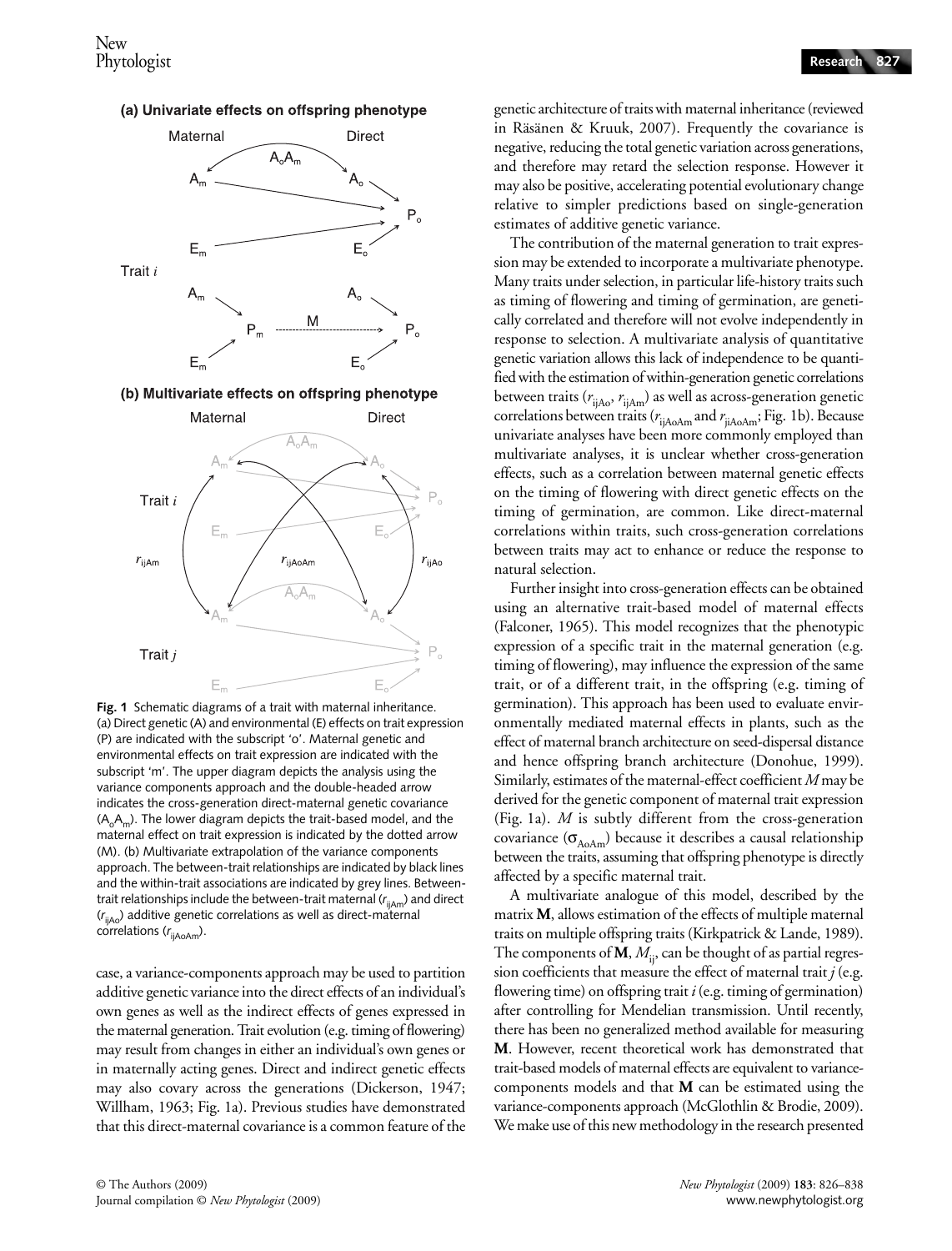

**Fig. 1** Schematic diagrams of a trait with maternal inheritance. (a) Direct genetic (A) and environmental (E) effects on trait expression (P) are indicated with the subscript 'o'. Maternal genetic and environmental effects on trait expression are indicated with the subscript 'm'. The upper diagram depicts the analysis using the variance components approach and the double-headed arrow indicates the cross-generation direct-maternal genetic covariance  $(A_0A_m)$ . The lower diagram depicts the trait-based model, and the maternal effect on trait expression is indicated by the dotted arrow (M). (b) Multivariate extrapolation of the variance components approach. The between-trait relationships are indicated by black lines and the within-trait associations are indicated by grey lines. Betweentrait relationships include the between-trait maternal ( $r_{\text{iiAm}}$ ) and direct ( $r_{ii\text{Ao}}$ ) additive genetic correlations as well as direct-maternal correlations ( $r_{\text{iiAoAm}}$ ).

case, a variance-components approach may be used to partition additive genetic variance into the direct effects of an individual's own genes as well as the indirect effects of genes expressed in the maternal generation. Trait evolution (e.g. timing of flowering) may result from changes in either an individual's own genes or in maternally acting genes. Direct and indirect genetic effects may also covary across the generations (Dickerson, 1947; Willham, 1963; Fig. 1a). Previous studies have demonstrated that this direct-maternal covariance is a common feature of the genetic architecture of traits with maternal inheritance (reviewed in Räsänen & Kruuk, 2007). Frequently the covariance is negative, reducing the total genetic variation across generations, and therefore may retard the selection response. However it may also be positive, accelerating potential evolutionary change relative to simpler predictions based on single-generation estimates of additive genetic variance.

The contribution of the maternal generation to trait expression may be extended to incorporate a multivariate phenotype. Many traits under selection, in particular life-history traits such as timing of flowering and timing of germination, are genetically correlated and therefore will not evolve independently in response to selection. A multivariate analysis of quantitative genetic variation allows this lack of independence to be quantified with the estimation of within-generation genetic correlations between traits ( $r_{ijA0}$ ,  $r_{ijAm}$ ) as well as across-generation genetic correlations between traits ( $r_{ijAoAm}$  and  $r_{jiAoAm}$ ; Fig. 1b). Because univariate analyses have been more commonly employed than multivariate analyses, it is unclear whether cross-generation effects, such as a correlation between maternal genetic effects on the timing of flowering with direct genetic effects on the timing of germination, are common. Like direct-maternal correlations within traits, such cross-generation correlations between traits may act to enhance or reduce the response to natural selection.

Further insight into cross-generation effects can be obtained using an alternative trait-based model of maternal effects (Falconer, 1965). This model recognizes that the phenotypic expression of a specific trait in the maternal generation (e.g. timing of flowering), may influence the expression of the same trait, or of a different trait, in the offspring (e.g. timing of germination). This approach has been used to evaluate environmentally mediated maternal effects in plants, such as the effect of maternal branch architecture on seed-dispersal distance and hence offspring branch architecture (Donohue, 1999). Similarly, estimates of the maternal-effect coefficient *M* may be derived for the genetic component of maternal trait expression (Fig. 1a). *M* is subtly different from the cross-generation covariance ( $\sigma_{A\alpha A m}$ ) because it describes a causal relationship between the traits, assuming that offspring phenotype is directly affected by a specific maternal trait.

A multivariate analogue of this model, described by the matrix **M**, allows estimation of the effects of multiple maternal traits on multiple offspring traits (Kirkpatrick & Lande, 1989). The components of **M**,  $M_{ii}$ , can be thought of as partial regression coefficients that measure the effect of maternal trait *j* (e.g. flowering time) on offspring trait *i* (e.g. timing of germination) after controlling for Mendelian transmission. Until recently, there has been no generalized method available for measuring **M**. However, recent theoretical work has demonstrated that trait-based models of maternal effects are equivalent to variancecomponents models and that **M** can be estimated using the variance-components approach (McGlothlin & Brodie, 2009). We make use of this new methodology in the research presented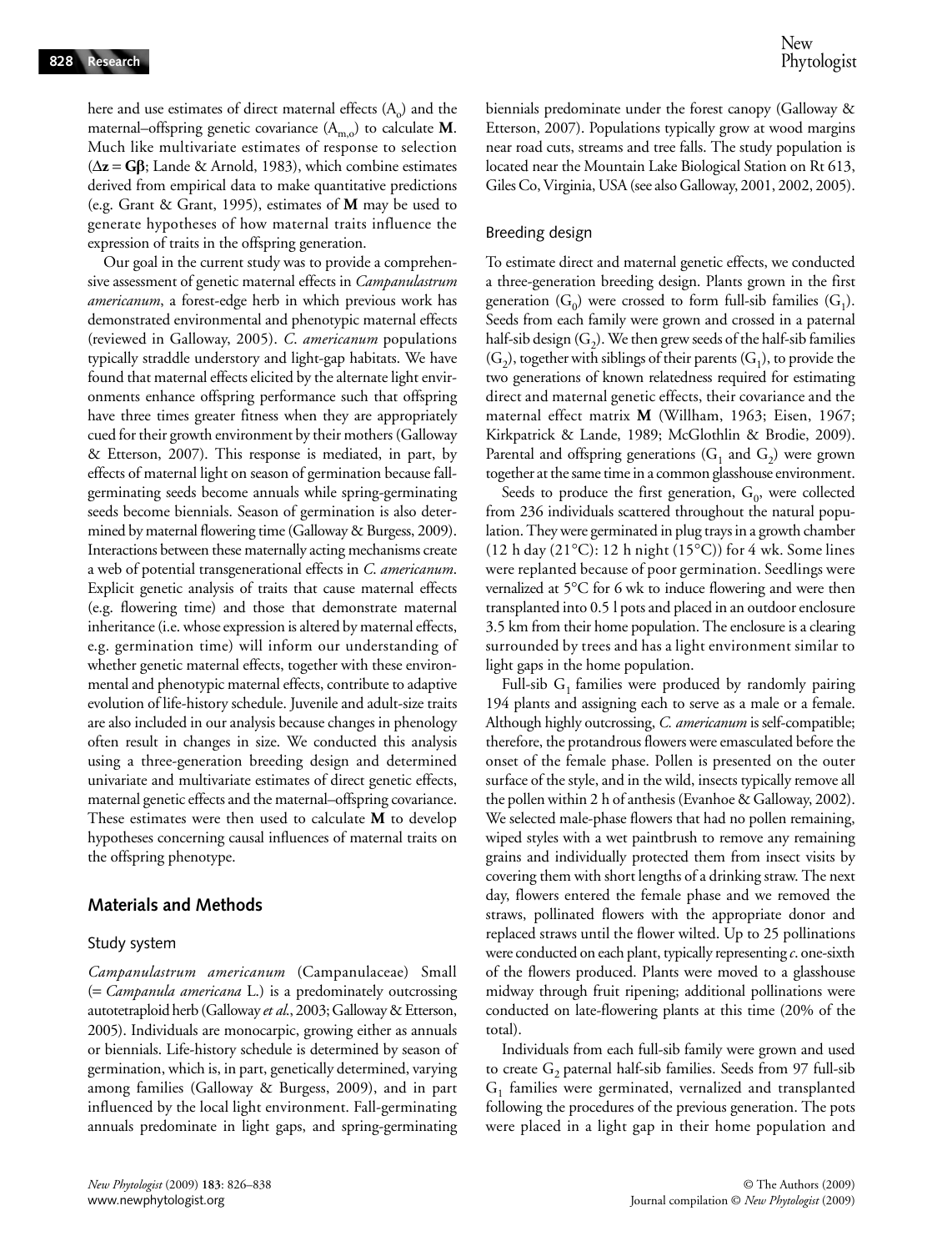here and use estimates of direct maternal effects  $(A_0)$  and the maternal–offspring genetic covariance  $(A_{m,o})$  to calculate **M**. Much like multivariate estimates of response to selection (Δ**z** = **Gb**; Lande & Arnold, 1983), which combine estimates derived from empirical data to make quantitative predictions (e.g. Grant & Grant, 1995), estimates of **M** may be used to generate hypotheses of how maternal traits influence the expression of traits in the offspring generation.

Our goal in the current study was to provide a comprehensive assessment of genetic maternal effects in *Campanulastrum americanum*, a forest-edge herb in which previous work has demonstrated environmental and phenotypic maternal effects (reviewed in Galloway, 2005). *C*. *americanum* populations typically straddle understory and light-gap habitats. We have found that maternal effects elicited by the alternate light environments enhance offspring performance such that offspring have three times greater fitness when they are appropriately cued for their growth environment by their mothers (Galloway & Etterson, 2007). This response is mediated, in part, by effects of maternal light on season of germination because fallgerminating seeds become annuals while spring-germinating seeds become biennials. Season of germination is also determined by maternal flowering time (Galloway & Burgess, 2009). Interactions between these maternally acting mechanisms create a web of potential transgenerational effects in *C*. *americanum*. Explicit genetic analysis of traits that cause maternal effects (e.g. flowering time) and those that demonstrate maternal inheritance (i.e. whose expression is altered by maternal effects, e.g. germination time) will inform our understanding of whether genetic maternal effects, together with these environmental and phenotypic maternal effects, contribute to adaptive evolution of life-history schedule. Juvenile and adult-size traits are also included in our analysis because changes in phenology often result in changes in size. We conducted this analysis using a three-generation breeding design and determined univariate and multivariate estimates of direct genetic effects, maternal genetic effects and the maternal–offspring covariance. These estimates were then used to calculate **M** to develop hypotheses concerning causal influences of maternal traits on the offspring phenotype.

#### **Materials and Methods**

#### Study system

*Campanulastrum americanum* (Campanulaceae) Small (= *Campanula americana* L.) is a predominately outcrossing autotetraploid herb (Galloway *et al*., 2003; Galloway & Etterson, 2005). Individuals are monocarpic, growing either as annuals or biennials. Life-history schedule is determined by season of germination, which is, in part, genetically determined, varying among families (Galloway & Burgess, 2009), and in part influenced by the local light environment. Fall-germinating annuals predominate in light gaps, and spring-germinating biennials predominate under the forest canopy (Galloway & Etterson, 2007). Populations typically grow at wood margins near road cuts, streams and tree falls. The study population is located near the Mountain Lake Biological Station on Rt 613, Giles Co, Virginia, USA (see also Galloway, 2001, 2002, 2005).

#### Breeding design

To estimate direct and maternal genetic effects, we conducted a three-generation breeding design. Plants grown in the first generation  $(G_0)$  were crossed to form full-sib families  $(G_1)$ . Seeds from each family were grown and crossed in a paternal half-sib design  $(G_2)$ . We then grew seeds of the half-sib families  $(G_2)$ , together with siblings of their parents  $(G_1)$ , to provide the two generations of known relatedness required for estimating direct and maternal genetic effects, their covariance and the maternal effect matrix **M** (Willham, 1963; Eisen, 1967; Kirkpatrick & Lande, 1989; McGlothlin & Brodie, 2009). Parental and offspring generations ( $G_1$  and  $G_2$ ) were grown together at the same time in a common glasshouse environment.

Seeds to produce the first generation,  $G_0$ , were collected from 236 individuals scattered throughout the natural population. They were germinated in plug trays in a growth chamber (12 h day (21 $^{\circ}$ C): 12 h night (15 $^{\circ}$ C)) for 4 wk. Some lines were replanted because of poor germination. Seedlings were vernalized at 5°C for 6 wk to induce flowering and were then transplanted into 0.5 l pots and placed in an outdoor enclosure 3.5 km from their home population. The enclosure is a clearing surrounded by trees and has a light environment similar to light gaps in the home population.

Full-sib  $G_1$  families were produced by randomly pairing 194 plants and assigning each to serve as a male or a female. Although highly outcrossing, *C. americanum* is self-compatible; therefore, the protandrous flowers were emasculated before the onset of the female phase. Pollen is presented on the outer surface of the style, and in the wild, insects typically remove all the pollen within 2 h of anthesis (Evanhoe & Galloway, 2002). We selected male-phase flowers that had no pollen remaining, wiped styles with a wet paintbrush to remove any remaining grains and individually protected them from insect visits by covering them with short lengths of a drinking straw. The next day, flowers entered the female phase and we removed the straws, pollinated flowers with the appropriate donor and replaced straws until the flower wilted. Up to 25 pollinations were conducted on each plant, typically representing *c*. one-sixth of the flowers produced. Plants were moved to a glasshouse midway through fruit ripening; additional pollinations were conducted on late-flowering plants at this time (20% of the total).

Individuals from each full-sib family were grown and used to create  $G_2$  paternal half-sib families. Seeds from 97 full-sib  $G_1$  families were germinated, vernalized and transplanted following the procedures of the previous generation. The pots were placed in a light gap in their home population and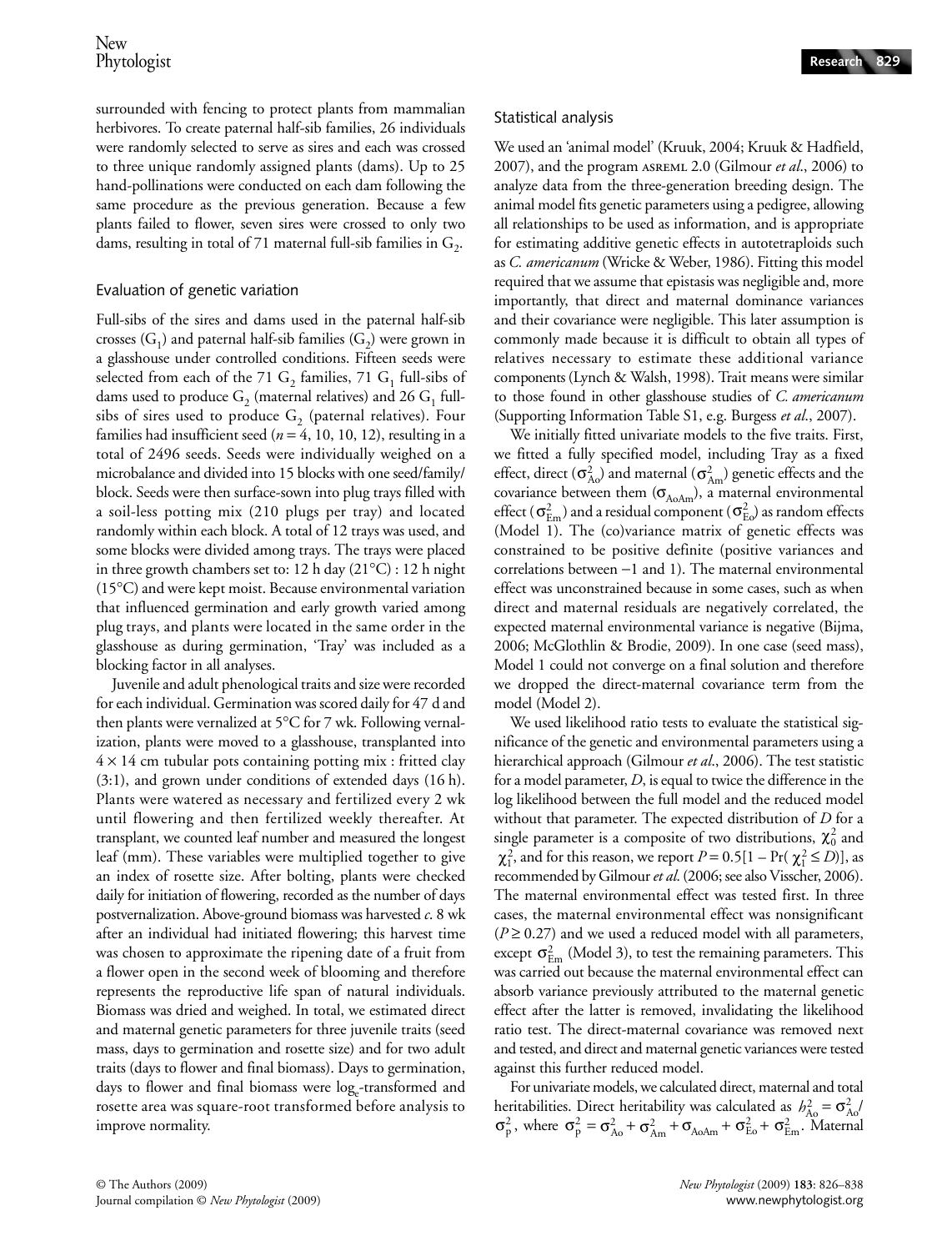surrounded with fencing to protect plants from mammalian herbivores. To create paternal half-sib families, 26 individuals were randomly selected to serve as sires and each was crossed to three unique randomly assigned plants (dams). Up to 25 hand-pollinations were conducted on each dam following the same procedure as the previous generation. Because a few plants failed to flower, seven sires were crossed to only two dams, resulting in total of 71 maternal full-sib families in  $G_2$ .

## Evaluation of genetic variation

Full-sibs of the sires and dams used in the paternal half-sib crosses  $(G_1)$  and paternal half-sib families  $(G_2)$  were grown in a glasshouse under controlled conditions. Fifteen seeds were selected from each of the 71 G<sub>2</sub> families, 71 G<sub>1</sub> full-sibs of dams used to produce  $G_2$  (maternal relatives) and 26  $G_1$  fullsibs of sires used to produce  $G_2$  (paternal relatives). Four families had insufficient seed ( $n = 4$ , 10, 10, 12), resulting in a total of 2496 seeds. Seeds were individually weighed on a microbalance and divided into 15 blocks with one seed/family/ block. Seeds were then surface-sown into plug trays filled with a soil-less potting mix (210 plugs per tray) and located randomly within each block. A total of 12 trays was used, and some blocks were divided among trays. The trays were placed in three growth chambers set to: 12 h day (21°C) : 12 h night (15°C) and were kept moist. Because environmental variation that influenced germination and early growth varied among plug trays, and plants were located in the same order in the glasshouse as during germination, 'Tray' was included as a blocking factor in all analyses.

Juvenile and adult phenological traits and size were recorded for each individual. Germination was scored daily for 47 d and then plants were vernalized at 5°C for 7 wk. Following vernalization, plants were moved to a glasshouse, transplanted into  $4 \times 14$  cm tubular pots containing potting mix : fritted clay (3:1), and grown under conditions of extended days (16 h). Plants were watered as necessary and fertilized every 2 wk until flowering and then fertilized weekly thereafter. At transplant, we counted leaf number and measured the longest leaf (mm). These variables were multiplied together to give an index of rosette size. After bolting, plants were checked daily for initiation of flowering, recorded as the number of days postvernalization. Above-ground biomass was harvested *c*. 8 wk after an individual had initiated flowering; this harvest time was chosen to approximate the ripening date of a fruit from a flower open in the second week of blooming and therefore represents the reproductive life span of natural individuals. Biomass was dried and weighed. In total, we estimated direct and maternal genetic parameters for three juvenile traits (seed mass, days to germination and rosette size) and for two adult traits (days to flower and final biomass). Days to germination, days to flower and final biomass were log<sub>e</sub>-transformed and rosette area was square-root transformed before analysis to improve normality.

#### Statistical analysis

We used an 'animal model' (Kruuk, 2004; Kruuk & Hadfield, 2007), and the program asreml 2.0 (Gilmour *et al*., 2006) to analyze data from the three-generation breeding design. The animal model fits genetic parameters using a pedigree, allowing all relationships to be used as information, and is appropriate for estimating additive genetic effects in autotetraploids such as *C. americanum* (Wricke & Weber, 1986). Fitting this model required that we assume that epistasis was negligible and, more importantly, that direct and maternal dominance variances and their covariance were negligible. This later assumption is commonly made because it is difficult to obtain all types of relatives necessary to estimate these additional variance components (Lynch & Walsh, 1998). Trait means were similar to those found in other glasshouse studies of *C. americanum* (Supporting Information Table S1, e.g. Burgess *et al*., 2007).

We initially fitted univariate models to the five traits. First, we fitted a fully specified model, including Tray as a fixed effect, direct ( $\sigma_{Ao}^2$ ) and maternal ( $\sigma_{Am}^2$ ) genetic effects and the covariance between them  $(\sigma_{AoAm})$ , a maternal environmental effect (  $\sigma^2_\text{Em}$ ) and a residual component (  $\sigma^2_\text{Eo}$ ) as random effects (Model 1). The (co)variance matrix of genetic effects was constrained to be positive definite (positive variances and correlations between −1 and 1). The maternal environmental effect was unconstrained because in some cases, such as when direct and maternal residuals are negatively correlated, the expected maternal environmental variance is negative (Bijma, 2006; McGlothlin & Brodie, 2009). In one case (seed mass), Model 1 could not converge on a final solution and therefore we dropped the direct-maternal covariance term from the model (Model 2).

We used likelihood ratio tests to evaluate the statistical significance of the genetic and environmental parameters using a hierarchical approach (Gilmour *et al*., 2006). The test statistic for a model parameter, *D*, is equal to twice the difference in the log likelihood between the full model and the reduced model without that parameter. The expected distribution of *D* for a single parameter is a composite of two distributions,  $\chi_0^2$  and  $\chi_1^2$ , and for this reason, we report  $P = 0.5[1 - Pr(\chi_1^2 \leq D)]$ , as recommended by Gilmour *et al*. (2006; see also Visscher, 2006). The maternal environmental effect was tested first. In three cases, the maternal environmental effect was nonsignificant  $(P \ge 0.27)$  and we used a reduced model with all parameters, except  $\sigma_{\rm Em}^2$  (Model 3), to test the remaining parameters. This was carried out because the maternal environmental effect can absorb variance previously attributed to the maternal genetic effect after the latter is removed, invalidating the likelihood ratio test. The direct-maternal covariance was removed next and tested, and direct and maternal genetic variances were tested against this further reduced model.

For univariate models, we calculated direct, maternal and total heritabilities. Direct heritability was calculated as  $h_{\text{Ao}}^2 = \sigma_{\text{Ao}}^2$  $\sigma_p^2$ , where  $\sigma_p^2 = \sigma_{Ao}^2 + \sigma_{Am}^2 + \sigma_{AoAm} + \sigma_{Eo}^2 + \sigma_{Em}^2$ . Maternal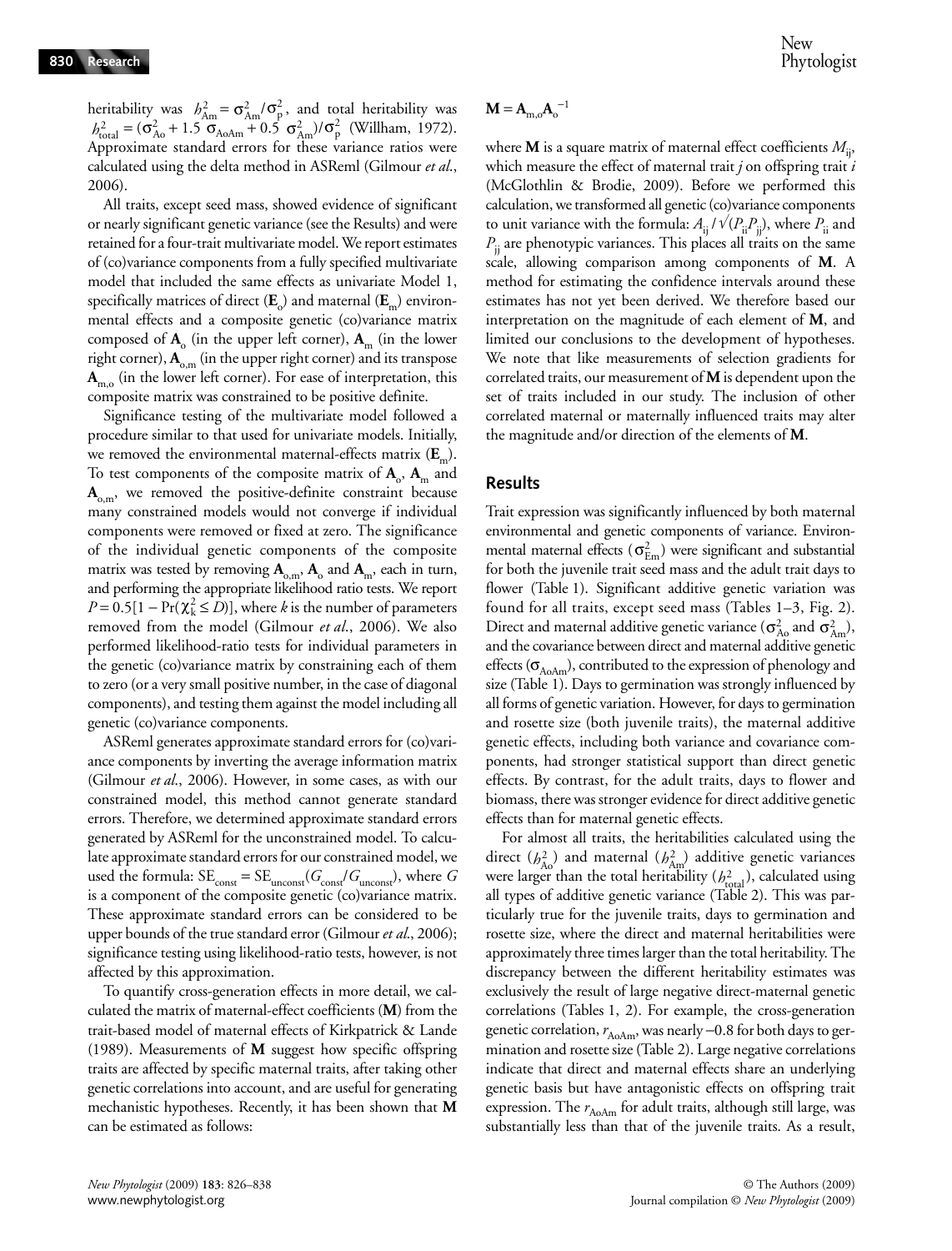heritability was  $h_{Am}^2 = \sigma_{Am}^2/\sigma_{p}^2$ , and total heritability was  $= (\sigma_{\text{Ao}}^2 + 1.5 \ \sigma_{\text{AoAm}} + 0.5 \ \sigma_{\text{Am}}^2) / \sigma_{\text{p}}^2$  (Willham, 1972). Approximate standard errors for these variance ratios were calculated using the delta method in ASReml (Gilmour *et al*., 2006).  $h_{\text{Am}}^2 = \sigma_{\text{Am}}^2/\sigma_p^2$  $h_{\text{total}}^2 = (\sigma_{\text{Ao}}^2 + 1.5 \sigma_{\text{AoAm}} + 0.5 \sigma_{\text{Am}}^2)/\sigma_{\text{p}}^2$ 

All traits, except seed mass, showed evidence of significant or nearly significant genetic variance (see the Results) and were retained for a four-trait multivariate model. We report estimates of (co)variance components from a fully specified multivariate model that included the same effects as univariate Model 1, specifically matrices of direct  $(\mathbf{E}_o)$  and maternal  $(\mathbf{E}_m)$  environmental effects and a composite genetic (co)variance matrix composed of  $\mathbf{A}_{\text{o}}$  (in the upper left corner),  $\mathbf{A}_{\text{m}}$  (in the lower right corner),  $\mathbf{A}_{o,m}$  (in the upper right corner) and its transpose  $A_{m,o}$  (in the lower left corner). For ease of interpretation, this composite matrix was constrained to be positive definite.

Significance testing of the multivariate model followed a procedure similar to that used for univariate models. Initially, we removed the environmental maternal-effects matrix  $(\mathbf{E}_m)$ . To test components of the composite matrix of  $A_0$ ,  $A_m$  and  $A_{\text{om}}$ , we removed the positive-definite constraint because many constrained models would not converge if individual components were removed or fixed at zero. The significance of the individual genetic components of the composite matrix was tested by removing  $A_{o,m}$ ,  $A_o$  and  $A_m$ , each in turn, and performing the appropriate likelihood ratio tests. We report  $P = 0.5[1 - Pr(\chi^2_k \leq D)]$ , where *k* is the number of parameters removed from the model (Gilmour *et al*., 2006). We also performed likelihood-ratio tests for individual parameters in the genetic (co)variance matrix by constraining each of them to zero (or a very small positive number, in the case of diagonal components), and testing them against the model including all genetic (co)variance components.

ASReml generates approximate standard errors for (co)variance components by inverting the average information matrix (Gilmour *et al*., 2006). However, in some cases, as with our constrained model, this method cannot generate standard errors. Therefore, we determined approximate standard errors generated by ASReml for the unconstrained model. To calculate approximate standard errors for our constrained model, we used the formula:  $\text{SE}_{\text{const}} = \text{SE}_{\text{unconst}}(G_{\text{const}}/G_{\text{unconst}})$  , where  $G$ is a component of the composite genetic (co)variance matrix. These approximate standard errors can be considered to be upper bounds of the true standard error (Gilmour *et al*., 2006); significance testing using likelihood-ratio tests, however, is not affected by this approximation.

To quantify cross-generation effects in more detail, we calculated the matrix of maternal-effect coefficients (**M**) from the trait-based model of maternal effects of Kirkpatrick & Lande (1989). Measurements of **M** suggest how specific offspring traits are affected by specific maternal traits, after taking other genetic correlations into account, and are useful for generating mechanistic hypotheses. Recently, it has been shown that **M** can be estimated as follows:

$$
\mathbf{M} = \mathbf{A}_{\mathrm{m,o}} \mathbf{A}_{\mathrm{o}}^{-1}
$$

where **M** is a square matrix of maternal effect coefficients  $M_{ii}$ , which measure the effect of maternal trait *j* on offspring trait *i* (McGlothlin & Brodie, 2009). Before we performed this calculation, we transformed all genetic (co)variance components to unit variance with the formula:  $A_{ii}/\sqrt{(P_{ii}P_{ii})}$ , where  $P_{ii}$  and *P*jj are phenotypic variances. This places all traits on the same scale, allowing comparison among components of **M**. A method for estimating the confidence intervals around these estimates has not yet been derived. We therefore based our interpretation on the magnitude of each element of **M**, and limited our conclusions to the development of hypotheses. We note that like measurements of selection gradients for correlated traits, our measurement of **M** is dependent upon the set of traits included in our study. The inclusion of other correlated maternal or maternally influenced traits may alter the magnitude and/or direction of the elements of **M**.

#### **Results**

Trait expression was significantly influenced by both maternal environmental and genetic components of variance. Environmental maternal effects ( $\sigma^2_{\text{\tiny{Em}}}$ ) were significant and substantial for both the juvenile trait seed mass and the adult trait days to flower (Table 1). Significant additive genetic variation was found for all traits, except seed mass (Tables 1–3, Fig. 2). Direct and maternal additive genetic variance ( $\sigma_{\text{Ao}}^2$  and  $\sigma_{\text{Am}}^2$ ), and the covariance between direct and maternal additive genetic effects ( $\sigma_{\textrm{AoAm}}$ ), contributed to the expression of phenology and size (Table 1). Days to germination was strongly influenced by all forms of genetic variation. However, for days to germination and rosette size (both juvenile traits), the maternal additive genetic effects, including both variance and covariance components, had stronger statistical support than direct genetic effects. By contrast, for the adult traits, days to flower and biomass, there was stronger evidence for direct additive genetic effects than for maternal genetic effects.

For almost all traits, the heritabilities calculated using the direct  $(h_{A_0}^2)$  and maternal  $(h_{A_m}^2)$  additive genetic variances were larger than the total heritability ( $h_{\text{total}}^2$ ), calculated using all types of additive genetic variance (Table 2). This was particularly true for the juvenile traits, days to germination and rosette size, where the direct and maternal heritabilities were approximately three times larger than the total heritability. The discrepancy between the different heritability estimates was exclusively the result of large negative direct-maternal genetic correlations (Tables 1, 2). For example, the cross-generation genetic correlation,  $r_{\text{AoAm}}$ , was nearly −0.8 for both days to germination and rosette size (Table 2). Large negative correlations indicate that direct and maternal effects share an underlying genetic basis but have antagonistic effects on offspring trait expression. The  $r_{A\alpha Am}$  for adult traits, although still large, was substantially less than that of the juvenile traits. As a result,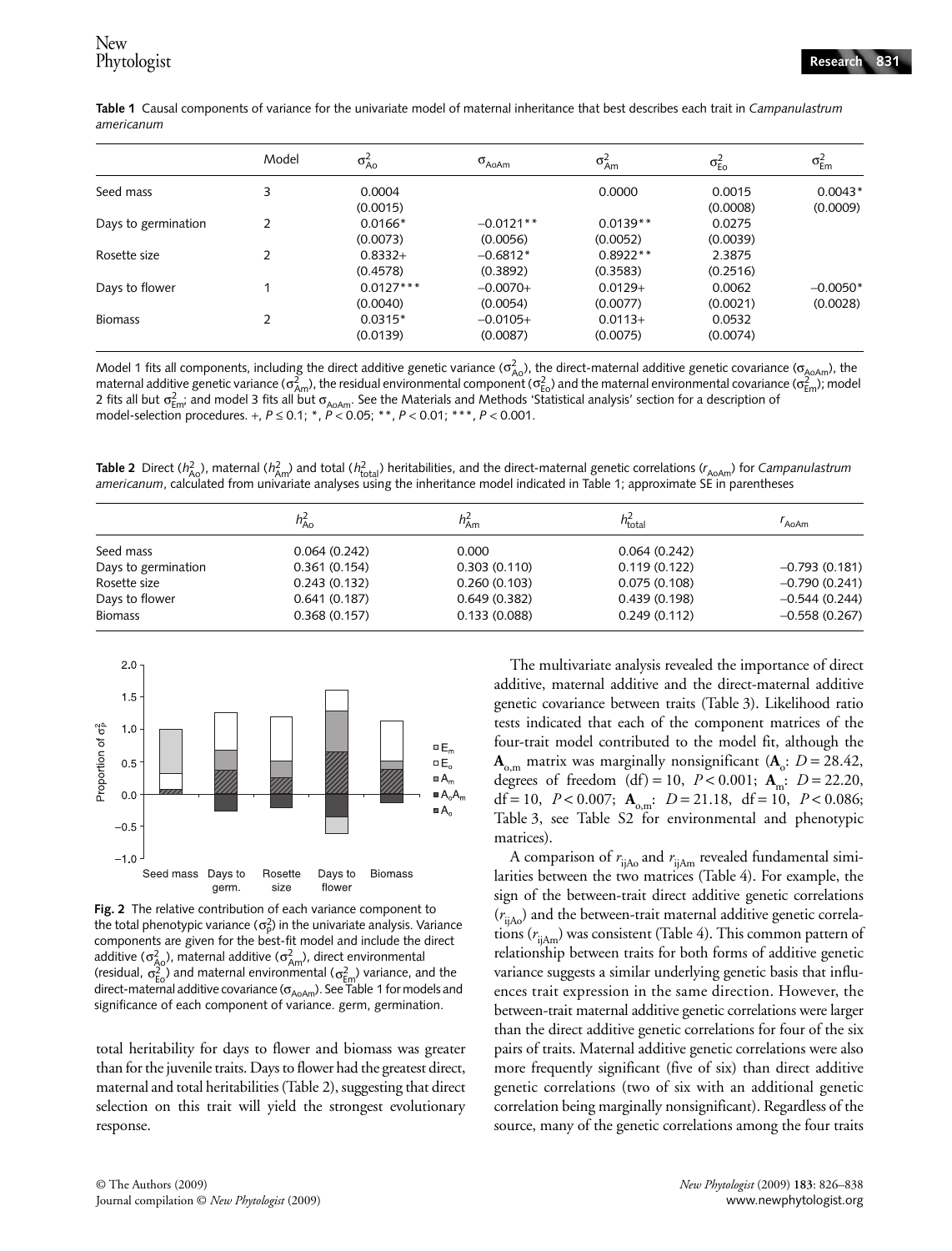**Table 1** Causal components of variance for the univariate model of maternal inheritance that best describes each trait in *Campanulastrum americanum*

|                     | Model         | $\sigma_{\text{Ao}}^2$ | $\sigma$ <sub>AoAm</sub> | $\sigma_{Am}^2$ | $\sigma_{\rm Eo}^2$ | $\sigma_{\rm Em}^2$ |
|---------------------|---------------|------------------------|--------------------------|-----------------|---------------------|---------------------|
| Seed mass           | 3             | 0.0004                 |                          | 0.0000          | 0.0015              | $0.0043*$           |
|                     |               | (0.0015)               |                          |                 | (0.0008)            | (0.0009)            |
| Days to germination | $\mathfrak z$ | $0.0166*$              | $-0.0121**$              | $0.0139**$      | 0.0275              |                     |
|                     |               | (0.0073)               | (0.0056)                 | (0.0052)        | (0.0039)            |                     |
| Rosette size        | 2             | $0.8332+$              | $-0.6812*$               | $0.8922**$      | 2.3875              |                     |
|                     |               | (0.4578)               | (0.3892)                 | (0.3583)        | (0.2516)            |                     |
| Days to flower      |               | $0.0127***$            | $-0.0070+$               | $0.0129 +$      | 0.0062              | $-0.0050*$          |
|                     |               | (0.0040)               | (0.0054)                 | (0.0077)        | (0.0021)            | (0.0028)            |
| <b>Biomass</b>      |               | $0.0315*$              | $-0.0105+$               | $0.0113+$       | 0.0532              |                     |
|                     |               | (0.0139)               | (0.0087)                 | (0.0075)        | (0.0074)            |                     |

Model 1 fits all components, including the direct additive genetic variance ( $\sigma_{Ao}^2$ ), the direct-maternal additive genetic covariance ( $\sigma_{AoAm}$ ), the maternal additive genetic variance ( $\sigma_{Am}^2$ ), the residual environmental component ( $\sigma_{E_0}^2$ ) and the maternal environmental covariance ( $\sigma_{Em}^2$ ); model 2 fits all but  $\sigma_{\rm Em}^2$  and model 3 fits all but  $\sigma_{\rm AoAm}$ . See the Materials and Methods 'Statistical analysis' section for a description of 2 fits all but  $\sigma_{\rm Em}^2$ ; and model 3 fits all but  $\sigma_{\rm AoAm}$ . See the Materials and Methods ''<br>model-selection procedures. +, *P* ≤ 0.1; \*, *P* < 0.05; \*\*, *P* < 0.01; \*\*\*, *P* < 0.001.

**Table 2** Direct ( $h_{\sf Ao}^2$ ), maternal ( $h_{\sf Am}^2$ ) and total ( $h_{\sf total}^2$ ) heritabilities, and the direct-maternal genetic correlations ( $r_{\sf AoAm}$ ) for *Campanulastrum americanum*, calculated from univariate analyses using the inheritance model indicated in Table 1; approximate SE in parentheses

|                     | $h_{\text{Ao}}^2$ | $h_{\rm Am}^2$ | $h_{\text{total}}^2$ | AoAm            |
|---------------------|-------------------|----------------|----------------------|-----------------|
| Seed mass           | 0.064(0.242)      | 0.000          | 0.064(0.242)         |                 |
| Days to germination | 0.361(0.154)      | 0.303(0.110)   | 0.119(0.122)         | $-0.793(0.181)$ |
| Rosette size        | 0.243(0.132)      | 0.260(0.103)   | 0.075(0.108)         | $-0.790(0.241)$ |
| Days to flower      | 0.641(0.187)      | 0.649(0.382)   | 0.439(0.198)         | $-0.544(0.244)$ |
| <b>Biomass</b>      | 0.368(0.157)      | 0.133(0.088)   | 0.249(0.112)         | $-0.558(0.267)$ |



**Fig. 2** The relative contribution of each variance component to the total phenotypic variance ( $\sigma_{\rm p}^2$ ) in the univariate analysis. Variance components are given for the best-fit model and include the direct additive ( $\sigma_{\text{Ao}}^{2}$ ), maternal additive ( $\sigma_{\text{Am}}^{2}$ ), direct environmental (residual,  $\sigma_{\rm b}^2$ ) and maternal environmental ( $\sigma_{\rm b}^2$ ) variance, and the direct-maternal additive covariance ( $\sigma_{\scriptscriptstyle \sf{AoAm}}$ ). See Table 1 for models and significance of each component of variance. germ, germination.  $\sigma^2_{\text{Eo}}$ ) and maternal environmental ( $\sigma^2_{\text{Em}}$ 

total heritability for days to flower and biomass was greater than for the juvenile traits. Days to flower had the greatest direct, maternal and total heritabilities (Table 2), suggesting that direct selection on this trait will yield the strongest evolutionary response.

The multivariate analysis revealed the importance of direct additive, maternal additive and the direct-maternal additive genetic covariance between traits (Table 3). Likelihood ratio tests indicated that each of the component matrices of the four-trait model contributed to the model fit, although the  $A_{o,m}$  matrix was marginally nonsignificant ( $A_o$ : *D* = 28.42, degrees of freedom (df) = 10,  $P < 0.001$ ;  $A_m$ :  $D = 22.20$ , df = 10,  $P < 0.007$ ;  $A_{o,m}$ :  $D = 21.18$ , df = 10,  $P < 0.086$ ; Table 3, see Table S2 for environmental and phenotypic matrices).

A comparison of  $r_{\rm ijAo}$  and  $r_{\rm ijAm}$  revealed fundamental similarities between the two matrices (Table 4). For example, the sign of the between-trait direct additive genetic correlations (*r*ijAo) and the between-trait maternal additive genetic correlations ( $r_{\text{iiAm}}$ ) was consistent (Table 4). This common pattern of relationship between traits for both forms of additive genetic variance suggests a similar underlying genetic basis that influences trait expression in the same direction. However, the between-trait maternal additive genetic correlations were larger than the direct additive genetic correlations for four of the six pairs of traits. Maternal additive genetic correlations were also more frequently significant (five of six) than direct additive genetic correlations (two of six with an additional genetic correlation being marginally nonsignificant). Regardless of the source, many of the genetic correlations among the four traits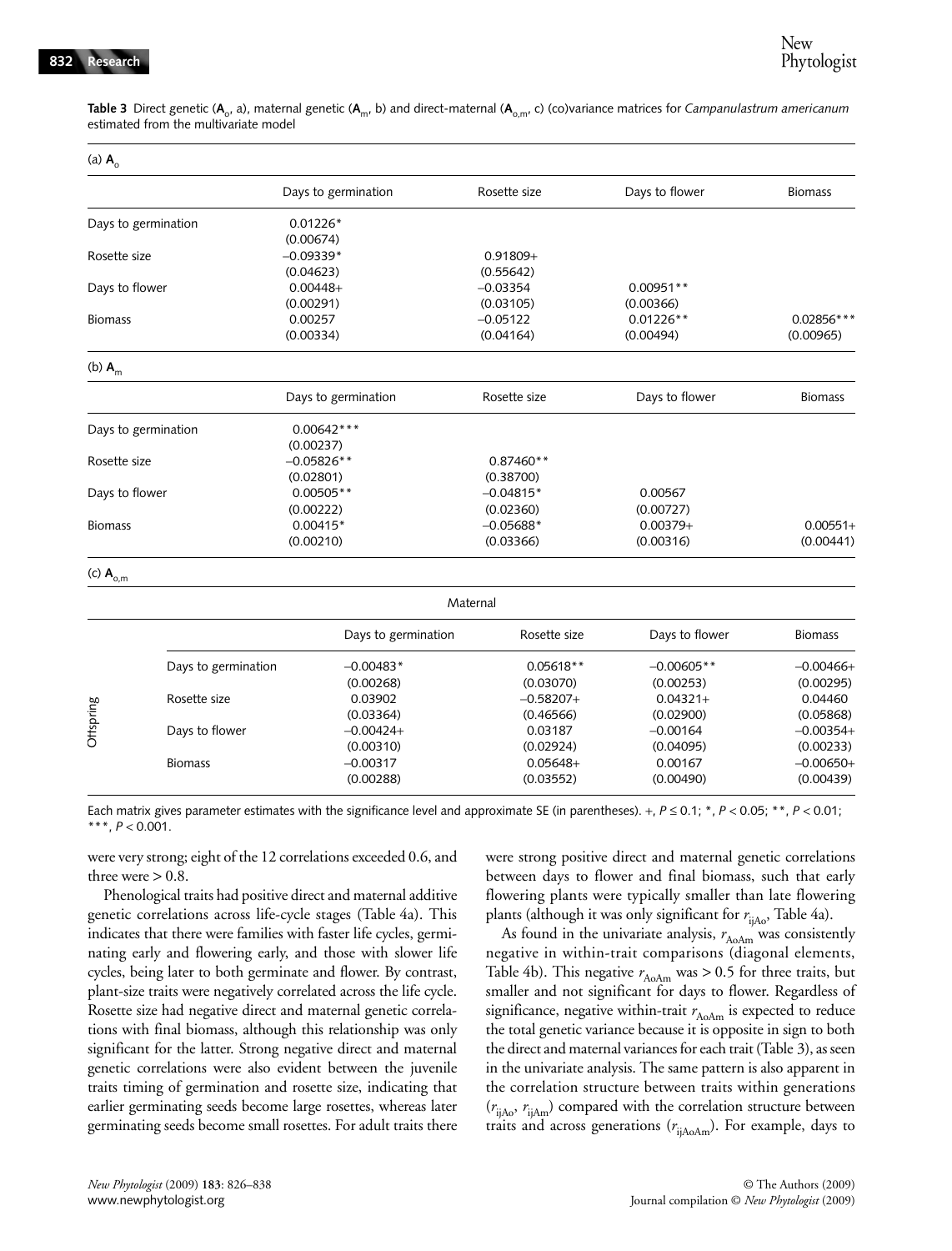**Table 3** Direct genetic (**A**o, a), maternal genetic (**A**m, b) and direct-maternal (**A**o,m, c) (co)variance matrices for *Campanulastrum americanum* estimated from the multivariate model

| (a) $A_0$                            |                     |              |                |                |
|--------------------------------------|---------------------|--------------|----------------|----------------|
|                                      | Days to germination | Rosette size | Days to flower | <b>Biomass</b> |
| Days to germination                  | $0.01226*$          |              |                |                |
|                                      | (0.00674)           |              |                |                |
| Rosette size                         | $-0.09339*$         | $0.91809 +$  |                |                |
|                                      | (0.04623)           | (0.55642)    |                |                |
| Days to flower                       | $0.00448 +$         | $-0.03354$   | $0.00951**$    |                |
|                                      | (0.00291)           | (0.03105)    | (0.00366)      |                |
| <b>Biomass</b>                       | 0.00257             | $-0.05122$   | $0.01226**$    | 0.02856***     |
|                                      | (0.00334)           | (0.04164)    | (0.00494)      | (0.00965)      |
| (b) $A_m$                            |                     |              |                |                |
|                                      | Days to germination | Rosette size | Days to flower | <b>Biomass</b> |
| Days to germination                  | $0.00642***$        |              |                |                |
|                                      | (0.00237)           |              |                |                |
| Rosette size                         | $-0.05826**$        | $0.87460**$  |                |                |
|                                      | (0.02801)           | (0.38700)    |                |                |
| Days to flower                       | $0.00505**$         | $-0.04815*$  | 0.00567        |                |
|                                      | (0.00222)           | (0.02360)    | (0.00727)      |                |
| <b>Biomass</b>                       | $0.00415*$          | $-0.05688*$  | $0.00379 +$    | $0.00551+$     |
|                                      | (0.00210)           | (0.03366)    | (0.00316)      | (0.00441)      |
| (c) $\mathsf{A}_{\text{o},\text{m}}$ |                     |              |                |                |
|                                      |                     | Maternal     |                |                |
|                                      | Days to germination | Rosette size | Days to flower | <b>Biomass</b> |

|           |                     | Days to germination | Rosette size | Days to hower | <b>BIOHIASS</b> |
|-----------|---------------------|---------------------|--------------|---------------|-----------------|
|           | Days to germination | $-0.00483*$         | $0.05618**$  | $-0.00605**$  | $-0.00466+$     |
|           |                     | (0.00268)           | (0.03070)    | (0.00253)     | (0.00295)       |
|           | Rosette size        | 0.03902             | $-0.58207+$  | $0.04321 +$   | 0.04460         |
|           |                     | (0.03364)           | (0.46566)    | (0.02900)     | (0.05868)       |
| Ottspring | Days to flower      | $-0.00424+$         | 0.03187      | $-0.00164$    | $-0.00354+$     |
|           |                     | (0.00310)           | (0.02924)    | (0.04095)     | (0.00233)       |
|           | Biomass             | $-0.00317$          | $0.05648 +$  | 0.00167       | $-0.00650+$     |
|           |                     | (0.00288)           | (0.03552)    | (0.00490)     | (0.00439)       |

Each matrix gives parameter estimates with the significance level and approximate SE (in parentheses). +, *P* ≤ 0.1; \*, *P* < 0.05; \*\*, *P* < 0.01; \*\*\*, *P* < 0.001.

were very strong; eight of the 12 correlations exceeded 0.6, and three were  $> 0.8$ .

Phenological traits had positive direct and maternal additive genetic correlations across life-cycle stages (Table 4a). This indicates that there were families with faster life cycles, germinating early and flowering early, and those with slower life cycles, being later to both germinate and flower. By contrast, plant-size traits were negatively correlated across the life cycle. Rosette size had negative direct and maternal genetic correlations with final biomass, although this relationship was only significant for the latter. Strong negative direct and maternal genetic correlations were also evident between the juvenile traits timing of germination and rosette size, indicating that earlier germinating seeds become large rosettes, whereas later germinating seeds become small rosettes. For adult traits there

were strong positive direct and maternal genetic correlations between days to flower and final biomass, such that early flowering plants were typically smaller than late flowering plants (although it was only significant for  $r_{\text{iiAo}}$ , Table 4a).

As found in the univariate analysis,  $r_{\rm{AoAm}}$  was consistently negative in within-trait comparisons (diagonal elements, Table 4b). This negative  $r_{\text{AoAm}}$  was > 0.5 for three traits, but smaller and not significant for days to flower. Regardless of significance, negative within-trait  $r_{A_0A_m}$  is expected to reduce the total genetic variance because it is opposite in sign to both the direct and maternal variances for each trait (Table 3), as seen in the univariate analysis. The same pattern is also apparent in the correlation structure between traits within generations (*r*ijAo, *r*ijAm) compared with the correlation structure between traits and across generations  $(r_{\text{iiAoAm}})$ . For example, days to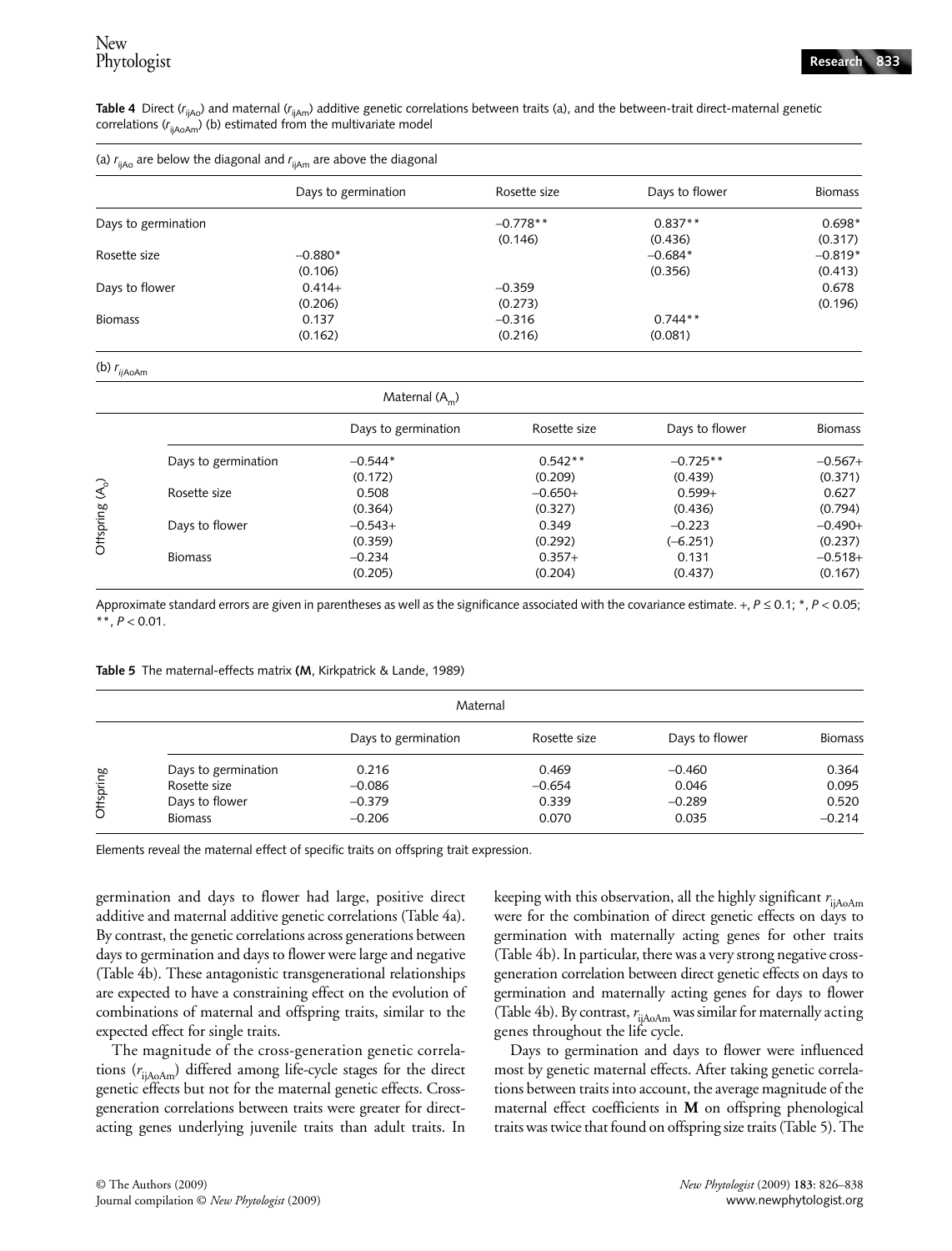**Table 4** Direct ( $r_{ijA0}$ ) and maternal ( $r_{ijAm}$ ) additive genetic correlations between traits (a), and the between-trait direct-maternal genetic correlations ( $r_{ijAoAm}$ ) (b) estimated from the multivariate model

| (a) $r_{\text{iiAo}}$ are below the diagonal and $r_{\text{iiAm}}$ are above the diagonal |                     |              |                |                |  |
|-------------------------------------------------------------------------------------------|---------------------|--------------|----------------|----------------|--|
|                                                                                           | Days to germination | Rosette size | Days to flower | <b>Biomass</b> |  |
| Days to germination                                                                       |                     | $-0.778**$   | $0.837**$      | $0.698*$       |  |
|                                                                                           |                     | (0.146)      | (0.436)        | (0.317)        |  |
| Rosette size                                                                              | $-0.880*$           |              | $-0.684*$      | $-0.819*$      |  |
|                                                                                           | (0.106)             |              | (0.356)        | (0.413)        |  |
| Days to flower                                                                            | $0.414 +$           | $-0.359$     |                | 0.678          |  |
|                                                                                           | (0.206)             | (0.273)      |                | (0.196)        |  |
| <b>Biomass</b>                                                                            | 0.137               | $-0.316$     | $0.744**$      |                |  |
|                                                                                           | (0.162)             | (0.216)      | (0.081)        |                |  |

(b) *rij*AoAm

Maternal  $(A_m)$ 

|                         |                     | Days to germination | Rosette size | Days to flower | <b>Biomass</b> |
|-------------------------|---------------------|---------------------|--------------|----------------|----------------|
|                         | Days to germination | $-0.544*$           | $0.542**$    | $-0.725**$     | $-0.567+$      |
|                         |                     | (0.172)             | (0.209)      | (0.439)        | (0.371)        |
| $\widehat{\mathcal{S}}$ | Rosette size        | 0.508               | $-0.650+$    | $0.599 +$      | 0.627          |
|                         |                     | (0.364)             | (0.327)      | (0.436)        | (0.794)        |
| Ottspring               | Days to flower      | $-0.543+$           | 0.349        | $-0.223$       | $-0.490+$      |
|                         |                     | (0.359)             | (0.292)      | $(-6.251)$     | (0.237)        |
|                         | <b>Biomass</b>      | $-0.234$            | $0.357+$     | 0.131          | $-0.518+$      |
|                         |                     | (0.205)             | (0.204)      | (0.437)        | (0.167)        |

Approximate standard errors are given in parentheses as well as the significance associated with the covariance estimate. +, *P* ≤ 0.1; \*, *P* < 0.05; \*\*, *P* < 0.01.

|  |  | <b>Table 5</b> The maternal-effects matrix (M, Kirkpatrick & Lande, 1989) |  |  |  |  |
|--|--|---------------------------------------------------------------------------|--|--|--|--|
|--|--|---------------------------------------------------------------------------|--|--|--|--|

|           |                     | Maternal            |              |                |                |
|-----------|---------------------|---------------------|--------------|----------------|----------------|
|           |                     | Days to germination | Rosette size | Days to flower | <b>Biomass</b> |
| Ottspring | Days to germination | 0.216               | 0.469        | $-0.460$       | 0.364          |
|           | Rosette size        | $-0.086$            | $-0.654$     | 0.046          | 0.095          |
|           | Days to flower      | $-0.379$            | 0.339        | $-0.289$       | 0.520          |
|           | <b>Biomass</b>      | $-0.206$            | 0.070        | 0.035          | $-0.214$       |

Elements reveal the maternal effect of specific traits on offspring trait expression.

germination and days to flower had large, positive direct additive and maternal additive genetic correlations (Table 4a). By contrast, the genetic correlations across generations between days to germination and days to flower were large and negative (Table 4b). These antagonistic transgenerational relationships are expected to have a constraining effect on the evolution of combinations of maternal and offspring traits, similar to the expected effect for single traits.

The magnitude of the cross-generation genetic correlations ( $r_{\text{iiAoAm}}$ ) differed among life-cycle stages for the direct genetic effects but not for the maternal genetic effects. Crossgeneration correlations between traits were greater for directacting genes underlying juvenile traits than adult traits. In keeping with this observation, all the highly significant  $r_{\rm i;AoAm}$ were for the combination of direct genetic effects on days to germination with maternally acting genes for other traits (Table 4b). In particular, there was a very strong negative crossgeneration correlation between direct genetic effects on days to germination and maternally acting genes for days to flower (Table 4b). By contrast,  $r_{iiAoAm}$  was similar for maternally acting genes throughout the life cycle.

Days to germination and days to flower were influenced most by genetic maternal effects. After taking genetic correlations between traits into account, the average magnitude of the maternal effect coefficients in **M** on offspring phenological traits was twice that found on offspring size traits (Table 5). The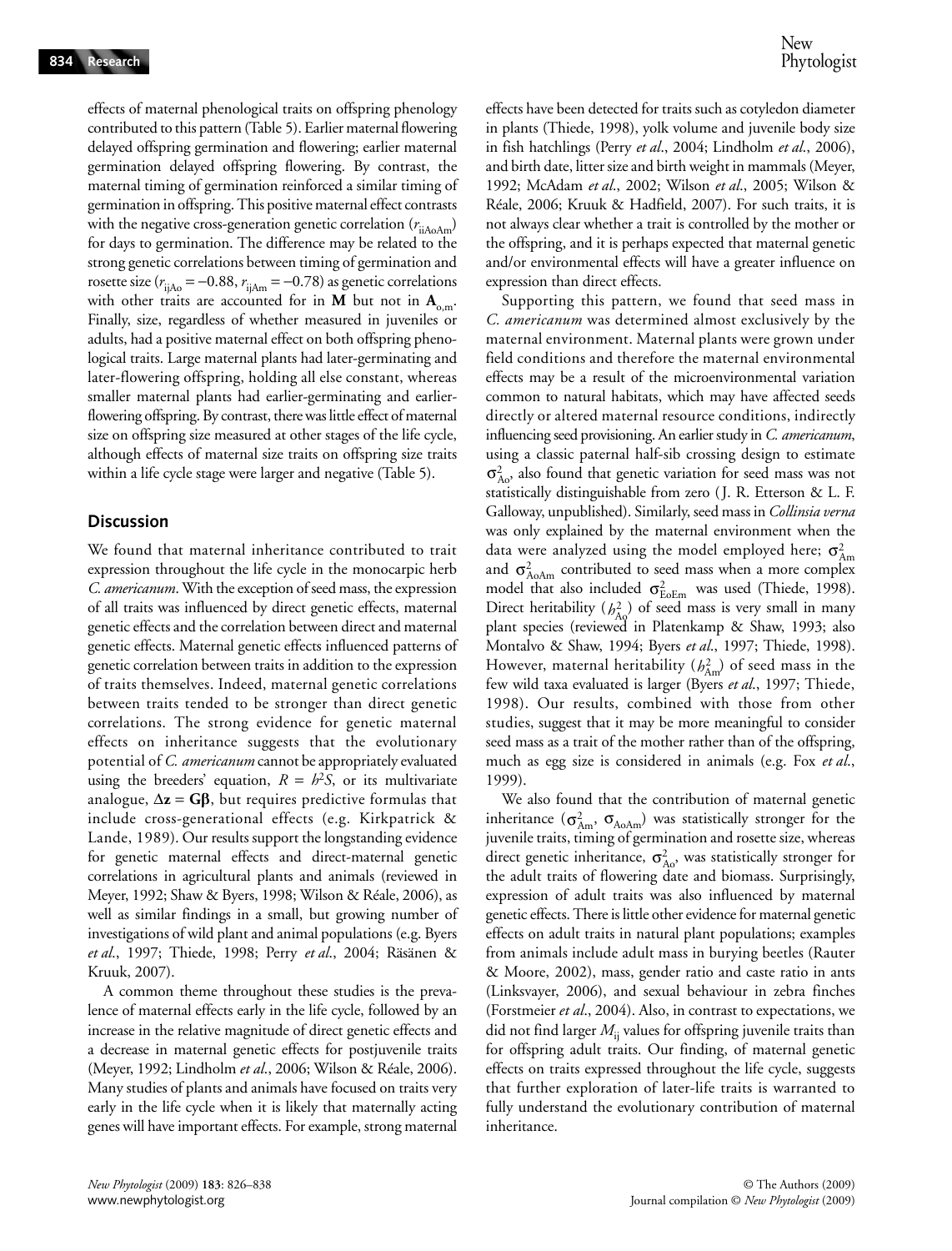effects of maternal phenological traits on offspring phenology contributed to this pattern (Table 5). Earlier maternal flowering delayed offspring germination and flowering; earlier maternal germination delayed offspring flowering. By contrast, the maternal timing of germination reinforced a similar timing of germination in offspring. This positive maternal effect contrasts with the negative cross-generation genetic correlation ( $r_{\text{iiAoAm}}$ ) for days to germination. The difference may be related to the strong genetic correlations between timing of germination and rosette size ( $r_{ijA0} = -0.88$ ,  $r_{ijAm} = -0.78$ ) as genetic correlations with other traits are accounted for in **M** but not in  $A_{o,m}$ . Finally, size, regardless of whether measured in juveniles or adults, had a positive maternal effect on both offspring phenological traits. Large maternal plants had later-germinating and later-flowering offspring, holding all else constant, whereas smaller maternal plants had earlier-germinating and earlierflowering offspring. By contrast, there was little effect of maternal size on offspring size measured at other stages of the life cycle, although effects of maternal size traits on offspring size traits within a life cycle stage were larger and negative (Table 5).

#### **Discussion**

We found that maternal inheritance contributed to trait expression throughout the life cycle in the monocarpic herb *C. americanum*. With the exception of seed mass, the expression of all traits was influenced by direct genetic effects, maternal genetic effects and the correlation between direct and maternal genetic effects. Maternal genetic effects influenced patterns of genetic correlation between traits in addition to the expression of traits themselves. Indeed, maternal genetic correlations between traits tended to be stronger than direct genetic correlations. The strong evidence for genetic maternal effects on inheritance suggests that the evolutionary potential of *C. americanum* cannot be appropriately evaluated using the breeders' equation,  $R = h^2S$ , or its multivariate analogue,  $\Delta z = G\beta$ , but requires predictive formulas that include cross-generational effects (e.g. Kirkpatrick & Lande, 1989). Our results support the longstanding evidence for genetic maternal effects and direct-maternal genetic correlations in agricultural plants and animals (reviewed in Meyer, 1992; Shaw & Byers, 1998; Wilson & Réale, 2006), as well as similar findings in a small, but growing number of investigations of wild plant and animal populations (e.g. Byers *et al*., 1997; Thiede, 1998; Perry *et al*., 2004; Räsänen & Kruuk, 2007).

A common theme throughout these studies is the prevalence of maternal effects early in the life cycle, followed by an increase in the relative magnitude of direct genetic effects and a decrease in maternal genetic effects for postjuvenile traits (Meyer, 1992; Lindholm *et al*., 2006; Wilson & Réale, 2006). Many studies of plants and animals have focused on traits very early in the life cycle when it is likely that maternally acting genes will have important effects. For example, strong maternal

effects have been detected for traits such as cotyledon diameter in plants (Thiede, 1998), yolk volume and juvenile body size in fish hatchlings (Perry *et al*., 2004; Lindholm *et al*., 2006), and birth date, litter size and birth weight in mammals (Meyer, 1992; McAdam *et al*., 2002; Wilson *et al*., 2005; Wilson & Réale, 2006; Kruuk & Hadfield, 2007). For such traits, it is not always clear whether a trait is controlled by the mother or the offspring, and it is perhaps expected that maternal genetic and/or environmental effects will have a greater influence on expression than direct effects.

Supporting this pattern, we found that seed mass in *C. americanum* was determined almost exclusively by the maternal environment. Maternal plants were grown under field conditions and therefore the maternal environmental effects may be a result of the microenvironmental variation common to natural habitats, which may have affected seeds directly or altered maternal resource conditions, indirectly influencing seed provisioning. An earlier study in *C. americanum*, using a classic paternal half-sib crossing design to estimate  $\sigma_{\text{Ao}}^2$ , also found that genetic variation for seed mass was not statistically distinguishable from zero (J. R. Etterson & L. F. Galloway, unpublished). Similarly, seed mass in *Collinsia verna* was only explained by the maternal environment when the data were analyzed using the model employed here;  $\sigma_{\rm Am}^2$ and  $\sigma_{\text{AoAm}}^2$  contributed to seed mass when a more complex model that also included  $\sigma_{\rm EoEm}^2$  was used (Thiede, 1998). Direct heritability  $(h_{AQ}^2)$  of seed mass is very small in many plant species (reviewed in Platenkamp & Shaw, 1993; also Montalvo & Shaw, 1994; Byers *et al*., 1997; Thiede, 1998). However, maternal heritability  $(h_{Am}^2)$  of seed mass in the few wild taxa evaluated is larger (Byers *et al*., 1997; Thiede, 1998). Our results, combined with those from other studies, suggest that it may be more meaningful to consider seed mass as a trait of the mother rather than of the offspring, much as egg size is considered in animals (e.g. Fox *et al*., 1999).

We also found that the contribution of maternal genetic inheritance  $(\sigma_{Am}^2, \sigma_{AoAm})$  was statistically stronger for the juvenile traits, timing of germination and rosette size, whereas direct genetic inheritance,  $\sigma_{\text{Ao}}^2$ , was statistically stronger for the adult traits of flowering date and biomass. Surprisingly, expression of adult traits was also influenced by maternal genetic effects. There is little other evidence for maternal genetic effects on adult traits in natural plant populations; examples from animals include adult mass in burying beetles (Rauter & Moore, 2002), mass, gender ratio and caste ratio in ants (Linksvayer, 2006), and sexual behaviour in zebra finches (Forstmeier *et al*., 2004). Also, in contrast to expectations, we did not find larger  $M_{ii}$  values for offspring juvenile traits than for offspring adult traits. Our finding, of maternal genetic effects on traits expressed throughout the life cycle, suggests that further exploration of later-life traits is warranted to fully understand the evolutionary contribution of maternal inheritance.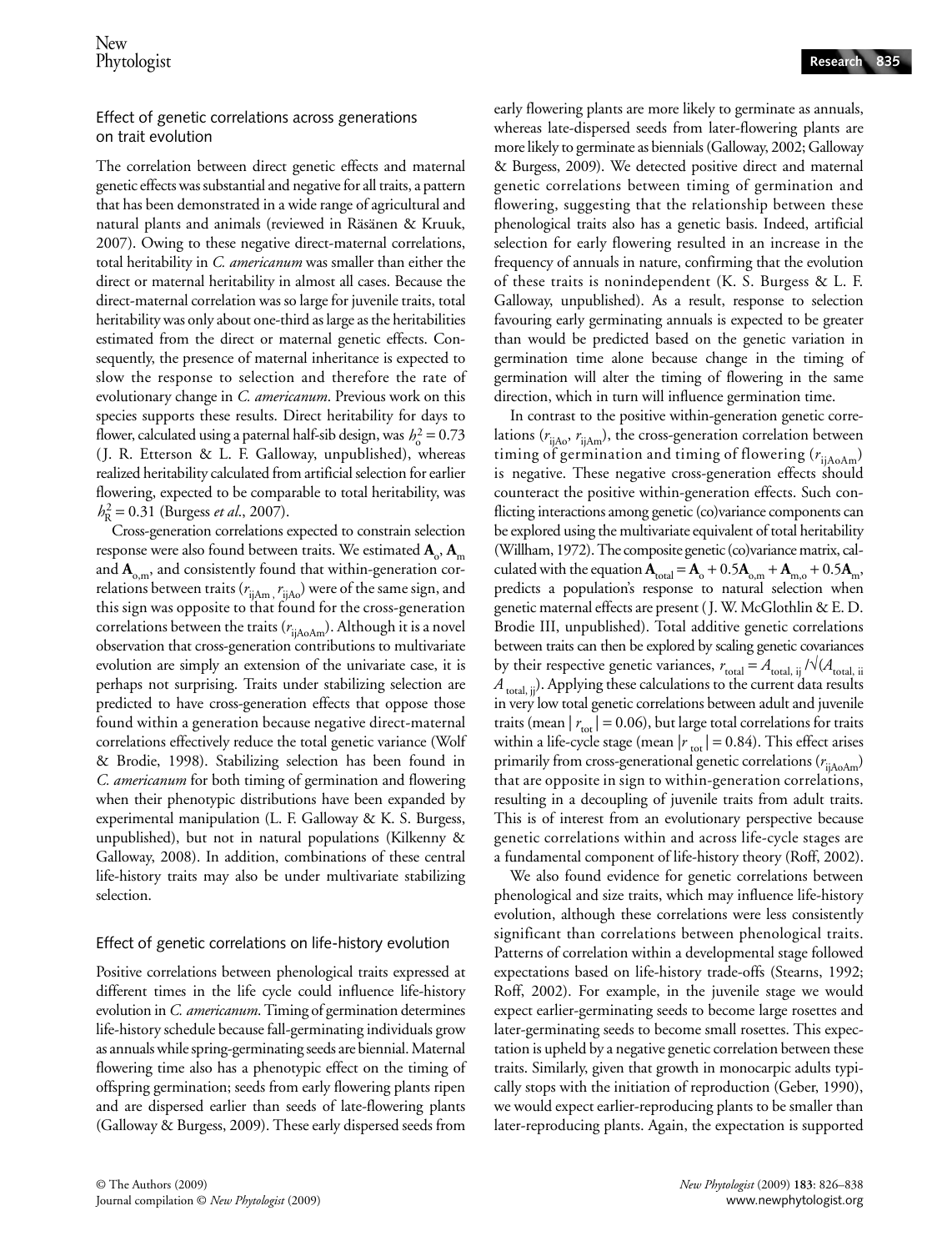## Effect of genetic correlations across generations on trait evolution

The correlation between direct genetic effects and maternal genetic effects was substantial and negative for all traits, a pattern that has been demonstrated in a wide range of agricultural and natural plants and animals (reviewed in Räsänen & Kruuk, 2007). Owing to these negative direct-maternal correlations, total heritability in *C. americanum* was smaller than either the direct or maternal heritability in almost all cases. Because the direct-maternal correlation was so large for juvenile traits, total heritability was only about one-third as large as the heritabilities estimated from the direct or maternal genetic effects. Consequently, the presence of maternal inheritance is expected to slow the response to selection and therefore the rate of evolutionary change in *C. americanum*. Previous work on this species supports these results. Direct heritability for days to flower, calculated using a paternal half-sib design, was  $h_0^2 = 0.73$ (J. R. Etterson & L. F. Galloway, unpublished), whereas realized heritability calculated from artificial selection for earlier flowering, expected to be comparable to total heritability, was *h*<sub>R</sub><sup>2</sup> = 0.31 (Burgess *et al.*, 2007).

Cross-generation correlations expected to constrain selection response were also found between traits. We estimated  $\mathbf{A}_{\alpha}$ ,  $\mathbf{A}_{\alpha}$ and  $\mathbf{A}_{\text{o.m}}$ , and consistently found that within-generation correlations between traits ( $r_{ijAm}$ ,  $r_{ijAo}$ ) were of the same sign, and this sign was opposite to that found for the cross-generation correlations between the traits  $(r_{ijAoAm})$ . Although it is a novel observation that cross-generation contributions to multivariate evolution are simply an extension of the univariate case, it is perhaps not surprising. Traits under stabilizing selection are predicted to have cross-generation effects that oppose those found within a generation because negative direct-maternal correlations effectively reduce the total genetic variance (Wolf & Brodie, 1998). Stabilizing selection has been found in *C. americanum* for both timing of germination and flowering when their phenotypic distributions have been expanded by experimental manipulation (L. F. Galloway & K. S. Burgess, unpublished), but not in natural populations (Kilkenny & Galloway, 2008). In addition, combinations of these central life-history traits may also be under multivariate stabilizing selection.

## Effect of genetic correlations on life-history evolution

Positive correlations between phenological traits expressed at different times in the life cycle could influence life-history evolution in *C. americanum*. Timing of germination determines life-history schedule because fall-germinating individuals grow as annuals while spring-germinating seeds are biennial. Maternal flowering time also has a phenotypic effect on the timing of offspring germination; seeds from early flowering plants ripen and are dispersed earlier than seeds of late-flowering plants (Galloway & Burgess, 2009). These early dispersed seeds from

early flowering plants are more likely to germinate as annuals, whereas late-dispersed seeds from later-flowering plants are more likely to germinate as biennials (Galloway, 2002; Galloway & Burgess, 2009). We detected positive direct and maternal genetic correlations between timing of germination and flowering, suggesting that the relationship between these phenological traits also has a genetic basis. Indeed, artificial selection for early flowering resulted in an increase in the frequency of annuals in nature, confirming that the evolution of these traits is nonindependent (K. S. Burgess & L. F. Galloway, unpublished). As a result, response to selection favouring early germinating annuals is expected to be greater than would be predicted based on the genetic variation in germination time alone because change in the timing of germination will alter the timing of flowering in the same direction, which in turn will influence germination time.

In contrast to the positive within-generation genetic correlations (*r*ijAo, *r*ijAm), the cross-generation correlation between timing of germination and timing of flowering ( $r_{\rm ijAoAm}$ ) is negative. These negative cross-generation effects should counteract the positive within-generation effects. Such conflicting interactions among genetic (co)variance components can be explored using the multivariate equivalent of total heritability (Willham, 1972). The composite genetic (co)variance matrix, calculated with the equation  $A_{total} = A_{o} + 0.5A_{o,m} + A_{m,o} + 0.5A_{m}$ predicts a population's response to natural selection when genetic maternal effects are present ( J. W. McGlothlin & E. D. Brodie III, unpublished). Total additive genetic correlations between traits can then be explored by scaling genetic covariances by their respective genetic variances,  $r_{\text{total}} = A_{\text{total, ij}} / \sqrt{(A_{\text{total, ii}})}$  $A_{\text{total, ii}}$ ). Applying these calculations to the current data results in very low total genetic correlations between adult and juvenile traits (mean  $|r_{\text{tot}}| = 0.06$ ), but large total correlations for traits within a life-cycle stage (mean  $|r_{\text{tot}}| = 0.84$ ). This effect arises primarily from cross-generational genetic correlations ( $r<sub>iiAoAm</sub>$ ) that are opposite in sign to within-generation correlations, resulting in a decoupling of juvenile traits from adult traits. This is of interest from an evolutionary perspective because genetic correlations within and across life-cycle stages are a fundamental component of life-history theory (Roff, 2002).

We also found evidence for genetic correlations between phenological and size traits, which may influence life-history evolution, although these correlations were less consistently significant than correlations between phenological traits. Patterns of correlation within a developmental stage followed expectations based on life-history trade-offs (Stearns, 1992; Roff, 2002). For example, in the juvenile stage we would expect earlier-germinating seeds to become large rosettes and later-germinating seeds to become small rosettes. This expectation is upheld by a negative genetic correlation between these traits. Similarly, given that growth in monocarpic adults typically stops with the initiation of reproduction (Geber, 1990), we would expect earlier-reproducing plants to be smaller than later-reproducing plants. Again, the expectation is supported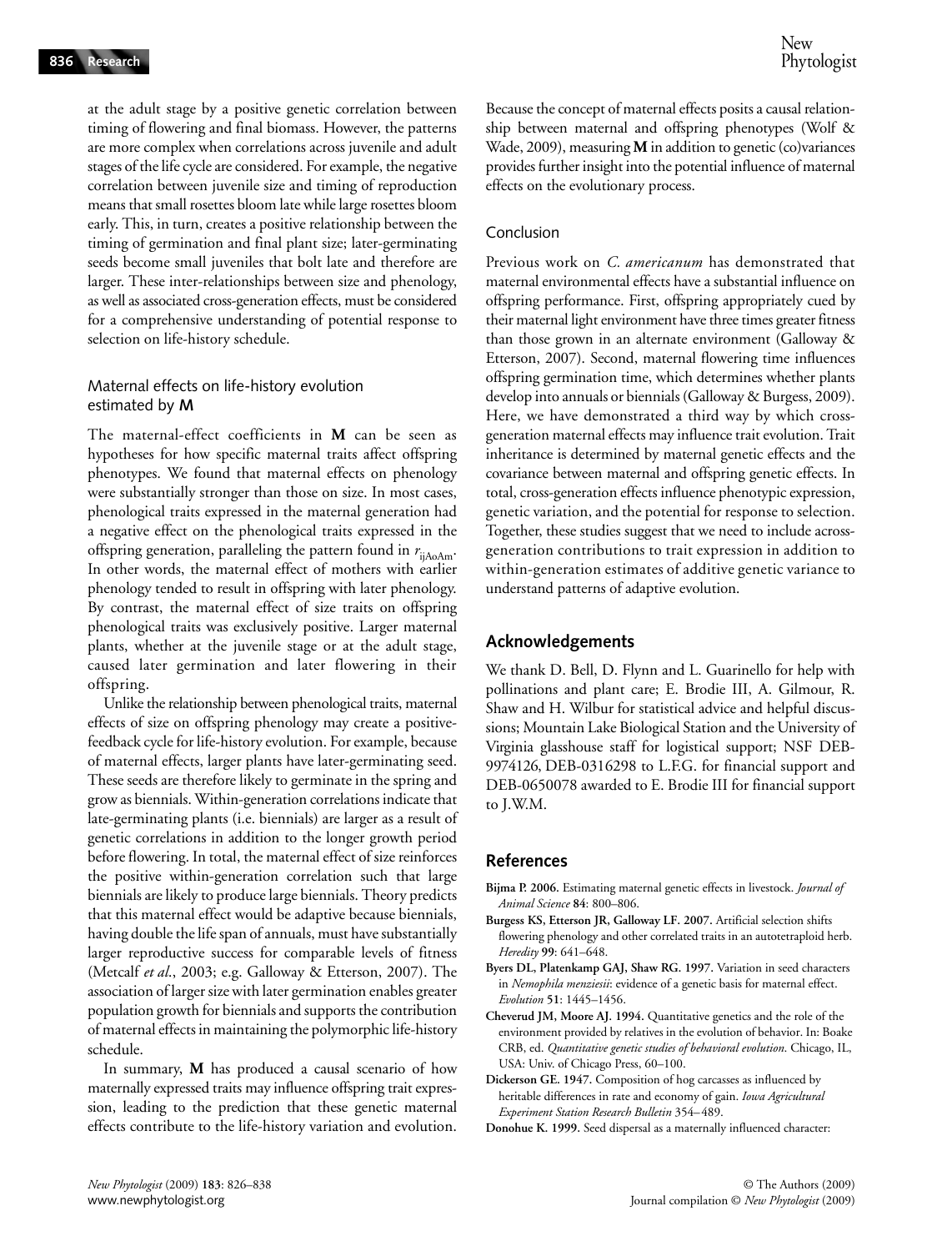New Phytologist

at the adult stage by a positive genetic correlation between timing of flowering and final biomass. However, the patterns are more complex when correlations across juvenile and adult stages of the life cycle are considered. For example, the negative correlation between juvenile size and timing of reproduction means that small rosettes bloom late while large rosettes bloom early. This, in turn, creates a positive relationship between the timing of germination and final plant size; later-germinating seeds become small juveniles that bolt late and therefore are larger. These inter-relationships between size and phenology, as well as associated cross-generation effects, must be considered for a comprehensive understanding of potential response to selection on life-history schedule.

## Maternal effects on life-history evolution estimated by **M**

The maternal-effect coefficients in **M** can be seen as hypotheses for how specific maternal traits affect offspring phenotypes. We found that maternal effects on phenology were substantially stronger than those on size. In most cases, phenological traits expressed in the maternal generation had a negative effect on the phenological traits expressed in the offspring generation, paralleling the pattern found in  $r_{\text{iiAoAm}}$ . In other words, the maternal effect of mothers with earlier phenology tended to result in offspring with later phenology. By contrast, the maternal effect of size traits on offspring phenological traits was exclusively positive. Larger maternal plants, whether at the juvenile stage or at the adult stage, caused later germination and later flowering in their offspring.

Unlike the relationship between phenological traits, maternal effects of size on offspring phenology may create a positivefeedback cycle for life-history evolution. For example, because of maternal effects, larger plants have later-germinating seed. These seeds are therefore likely to germinate in the spring and grow as biennials. Within-generation correlations indicate that late-germinating plants (i.e. biennials) are larger as a result of genetic correlations in addition to the longer growth period before flowering. In total, the maternal effect of size reinforces the positive within-generation correlation such that large biennials are likely to produce large biennials. Theory predicts that this maternal effect would be adaptive because biennials, having double the life span of annuals, must have substantially larger reproductive success for comparable levels of fitness (Metcalf *et al*., 2003; e.g. Galloway & Etterson, 2007). The association of larger size with later germination enables greater population growth for biennials and supports the contribution of maternal effects in maintaining the polymorphic life-history schedule.

In summary, **M** has produced a causal scenario of how maternally expressed traits may influence offspring trait expression, leading to the prediction that these genetic maternal effects contribute to the life-history variation and evolution.

Because the concept of maternal effects posits a causal relationship between maternal and offspring phenotypes (Wolf & Wade, 2009), measuring **M** in addition to genetic (co)variances provides further insight into the potential influence of maternal effects on the evolutionary process.

#### Conclusion

Previous work on *C. americanum* has demonstrated that maternal environmental effects have a substantial influence on offspring performance. First, offspring appropriately cued by their maternal light environment have three times greater fitness than those grown in an alternate environment (Galloway & Etterson, 2007). Second, maternal flowering time influences offspring germination time, which determines whether plants develop into annuals or biennials (Galloway & Burgess, 2009). Here, we have demonstrated a third way by which crossgeneration maternal effects may influence trait evolution. Trait inheritance is determined by maternal genetic effects and the covariance between maternal and offspring genetic effects. In total, cross-generation effects influence phenotypic expression, genetic variation, and the potential for response to selection. Together, these studies suggest that we need to include acrossgeneration contributions to trait expression in addition to within-generation estimates of additive genetic variance to understand patterns of adaptive evolution.

## **Acknowledgements**

We thank D. Bell, D. Flynn and L. Guarinello for help with pollinations and plant care; E. Brodie III, A. Gilmour, R. Shaw and H. Wilbur for statistical advice and helpful discussions; Mountain Lake Biological Station and the University of Virginia glasshouse staff for logistical support; NSF DEB-9974126, DEB-0316298 to L.F.G. for financial support and DEB-0650078 awarded to E. Brodie III for financial support to J.W.M.

#### **References**

- **Bijma P. 2006.** Estimating maternal genetic effects in livestock. *Journal of Animal Science* **84**: 800–806.
- **Burgess KS, Etterson JR, Galloway LF. 2007.** Artificial selection shifts flowering phenology and other correlated traits in an autotetraploid herb. *Heredity* **99**: 641–648.
- **Byers DL, Platenkamp GAJ, Shaw RG. 1997.** Variation in seed characters in *Nemophila menziesii*: evidence of a genetic basis for maternal effect. *Evolution* **51**: 1445–1456.
- **Cheverud JM, Moore AJ. 1994.** Quantitative genetics and the role of the environment provided by relatives in the evolution of behavior. In: Boake CRB, ed. *Quantitative genetic studies of behavioral evolution*. Chicago, IL, USA: Univ. of Chicago Press, 60–100.
- **Dickerson GE. 1947.** Composition of hog carcasses as influenced by heritable differences in rate and economy of gain. *Iowa Agricultural Experiment Station Research Bulletin* 354–489.
- **Donohue K. 1999.** Seed dispersal as a maternally influenced character: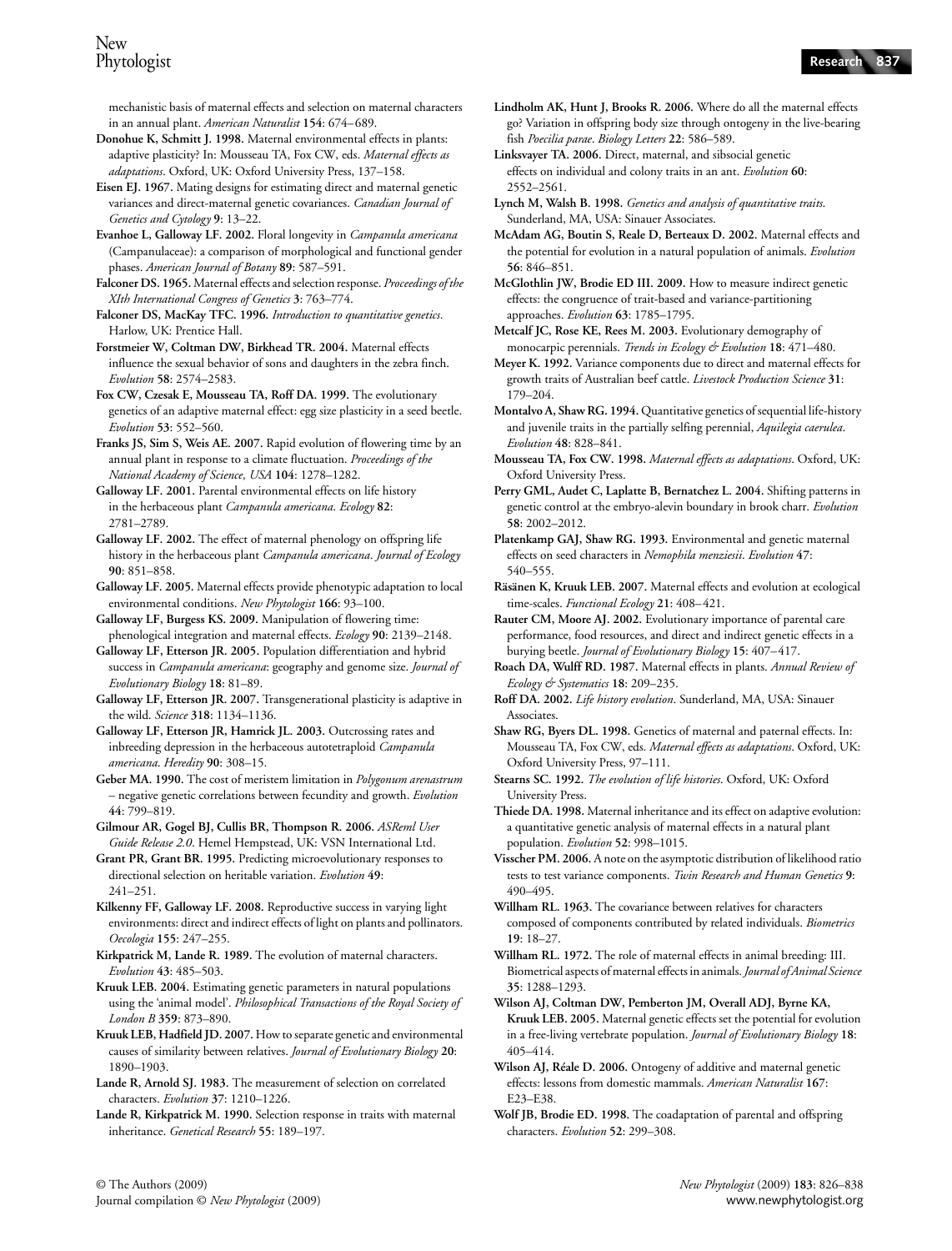mechanistic basis of maternal effects and selection on maternal characters in an annual plant. *American Naturalist* **154**: 674–689.

- **Donohue K, Schmitt J. 1998.** Maternal environmental effects in plants: adaptive plasticity? In: Mousseau TA, Fox CW, eds. *Maternal effects as adaptations*. Oxford, UK: Oxford University Press, 137–158.
- **Eisen EJ. 1967.** Mating designs for estimating direct and maternal genetic variances and direct-maternal genetic covariances. *Canadian Journal of Genetics and Cytology* **9**: 13–22.
- **Evanhoe L, Galloway LF. 2002.** Floral longevity in *Campanula americana*  (Campanulaceae): a comparison of morphological and functional gender phases. *American Journal of Botany* **89**: 587–591.
- **Falconer DS. 1965.** Maternal effects and selection response. *Proceedings of the XIth International Congress of Genetics* **3**: 763–774.
- **Falconer DS, MacKay TFC. 1996.** *Introduction to quantitative genetics*. Harlow, UK: Prentice Hall.
- **Forstmeier W, Coltman DW, Birkhead TR. 2004.** Maternal effects influence the sexual behavior of sons and daughters in the zebra finch. *Evolution* **58**: 2574–2583.
- Fox CW, Czesak E, Mousseau TA, Roff DA. 1999. The evolutionary genetics of an adaptive maternal effect: egg size plasticity in a seed beetle. *Evolution* **53**: 552–560.
- **Franks JS, Sim S, Weis AE. 2007.** Rapid evolution of flowering time by an annual plant in response to a climate fluctuation. *Proceedings of the National Academy of Science, USA* **104**: 1278–1282.
- **Galloway LF. 2001.** Parental environmental effects on life history in the herbaceous plant *Campanula americana*. *Ecology* **82**: 2781–2789.

**Galloway LF. 2002.** The effect of maternal phenology on offspring life history in the herbaceous plant *Campanula americana*. *Journal of Ecology* **90**: 851–858.

- **Galloway LF. 2005.** Maternal effects provide phenotypic adaptation to local environmental conditions. *New Phytologist* **166**: 93–100.
- **Galloway LF, Burgess KS. 2009.** Manipulation of flowering time: phenological integration and maternal effects. *Ecology* **90**: 2139–2148.
- **Galloway LF, Etterson JR. 2005.** Population differentiation and hybrid success in *Campanula americana*: geography and genome size. *Journal of Evolutionary Biology* **18**: 81–89.
- **Galloway LF, Etterson JR. 2007.** Transgenerational plasticity is adaptive in the wild. *Science* **318**: 1134–1136.
- **Galloway LF, Etterson JR, Hamrick JL. 2003.** Outcrossing rates and inbreeding depression in the herbaceous autotetraploid *Campanula americana*. *Heredity* **90**: 308–15.
- **Geber MA. 1990.** The cost of meristem limitation in *Polygonum arenastrum –* negative genetic correlations between fecundity and growth. *Evolution* **44**: 799–819.
- **Gilmour AR, Gogel BJ, Cullis BR, Thompson R. 2006.** *ASReml User Guide Release 2.0*. Hemel Hempstead, UK: VSN International Ltd.
- **Grant PR, Grant BR. 1995.** Predicting microevolutionary responses to directional selection on heritable variation. *Evolution* **49**: 241–251.
- **Kilkenny FF, Galloway LF. 2008.** Reproductive success in varying light environments: direct and indirect effects of light on plants and pollinators. *Oecologia* **155**: 247–255.
- **Kirkpatrick M, Lande R. 1989.** The evolution of maternal characters. *Evolution* **43**: 485–503.
- **Kruuk LEB. 2004.** Estimating genetic parameters in natural populations using the 'animal model'. *Philosophical Transactions of the Royal Society of London B* **359**: 873–890.
- **Kruuk LEB, Hadfield JD. 2007.** How to separate genetic and environmental causes of similarity between relatives. *Journal of Evolutionary Biology* **20**: 1890–1903.
- **Lande R, Arnold SJ. 1983.** The measurement of selection on correlated characters. *Evolution* **37**: 1210–1226.
- **Lande R, Kirkpatrick M. 1990.** Selection response in traits with maternal inheritance. *Genetical Research* **55**: 189–197.
- **Lindholm AK, Hunt J, Brooks R. 2006.** Where do all the maternal effects go? Variation in offspring body size through ontogeny in the live-bearing fish *Poecilia parae*. *Biology Letters* **22**: 586–589.
- **Linksvayer TA. 2006.** Direct, maternal, and sibsocial genetic effects on individual and colony traits in an ant. *Evolution* **60**: 2552–2561.
- **Lynch M, Walsh B. 1998.** *Genetics and analysis of quantitative traits*. Sunderland, MA, USA: Sinauer Associates.
- **McAdam AG, Boutin S, Reale D, Berteaux D. 2002.** Maternal effects and the potential for evolution in a natural population of animals. *Evolution* **56**: 846–851.
- **McGlothlin JW, Brodie ED III. 2009.** How to measure indirect genetic effects: the congruence of trait-based and variance-partitioning approaches. *Evolution* **63**: 1785–1795.
- **Metcalf JC, Rose KE, Rees M. 2003.** Evolutionary demography of monocarpic perennials. *Trends in Ecology & Evolution* **18**: 471–480.
- **Meyer K. 1992.** Variance components due to direct and maternal effects for growth traits of Australian beef cattle. *Livestock Production Science* **31**: 179–204.
- **Montalvo A, Shaw RG. 1994.** Quantitative genetics of sequential life-history and juvenile traits in the partially selfing perennial, *Aquilegia caerulea*. *Evolution* **48**: 828–841.
- **Mousseau TA, Fox CW. 1998.** *Maternal effects as adaptations*. Oxford, UK: Oxford University Press.
- **Perry GML, Audet C, Laplatte B, Bernatchez L. 2004.** Shifting patterns in genetic control at the embryo-alevin boundary in brook charr. *Evolution* **58**: 2002–2012.
- **Platenkamp GAJ, Shaw RG. 1993.** Environmental and genetic maternal effects on seed characters in *Nemophila menziesii*. *Evolution* **47**: 540–555.
- **Räsänen K, Kruuk LEB. 2007.** Maternal effects and evolution at ecological time-scales. *Functional Ecology* **21**: 408–421.
- **Rauter CM, Moore AJ. 2002.** Evolutionary importance of parental care performance, food resources, and direct and indirect genetic effects in a burying beetle. *Journal of Evolutionary Biology* **15**: 407–417.
- **Roach DA, Wulff RD. 1987.** Maternal effects in plants. *Annual Review of Ecology & Systematics* **18**: 209–235.
- **Roff DA. 2002.** *Life history evolution*. Sunderland, MA, USA: Sinauer Associates.
- **Shaw RG, Byers DL. 1998.** Genetics of maternal and paternal effects. In: Mousseau TA, Fox CW, eds. *Maternal effects as adaptations*. Oxford, UK: Oxford University Press, 97–111.
- **Stearns SC. 1992.** *The evolution of life histories*. Oxford, UK: Oxford University Press.
- **Thiede DA. 1998.** Maternal inheritance and its effect on adaptive evolution: a quantitative genetic analysis of maternal effects in a natural plant population. *Evolution* **52**: 998–1015.
- **Visscher PM. 2006.** A note on the asymptotic distribution of likelihood ratio tests to test variance components. *Twin Research and Human Genetics* **9**: 490–495.
- **Willham RL. 1963.** The covariance between relatives for characters composed of components contributed by related individuals. *Biometrics* **19**: 18–27.
- **Willham RL. 1972.** The role of maternal effects in animal breeding: III. Biometrical aspects of maternal effects in animals. *Journal of Animal Science* **35**: 1288–1293.
- **Wilson AJ, Coltman DW, Pemberton JM, Overall ADJ, Byrne KA, Kruuk LEB. 2005.** Maternal genetic effects set the potential for evolution in a free-living vertebrate population. *Journal of Evolutionary Biology* **18**: 405–414.
- **Wilson AJ, Réale D. 2006.** Ontogeny of additive and maternal genetic effects: lessons from domestic mammals. *American Naturalist* **167**: E23–E38.
- **Wolf JB, Brodie ED. 1998.** The coadaptation of parental and offspring characters. *Evolution* **52**: 299–308.